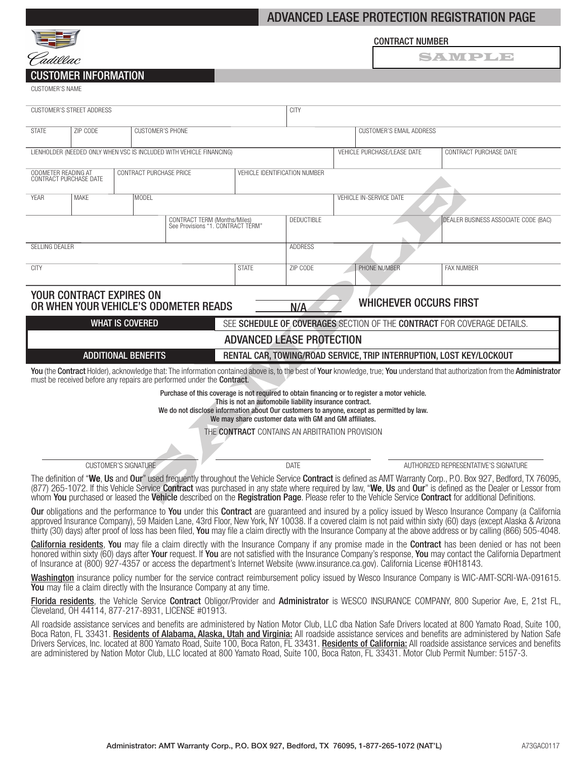# ADVANCED LEASE PROTECTION REGISTRATION PAGE



## CONTRACT NUMBER

SAWPLE

# CUSTOMER INFORMATION

CUSTOMER'S NAME

| <b>CUSTOMER'S STREET ADDRESS</b>                                                                                                                                                                                                                                                                                                                                                                                                                                                             |                             |                         |  | <b>CITY</b>                   |                          |                         |                                       |                                      |  |
|----------------------------------------------------------------------------------------------------------------------------------------------------------------------------------------------------------------------------------------------------------------------------------------------------------------------------------------------------------------------------------------------------------------------------------------------------------------------------------------------|-----------------------------|-------------------------|--|-------------------------------|--------------------------|-------------------------|---------------------------------------|--------------------------------------|--|
| <b>STATE</b>                                                                                                                                                                                                                                                                                                                                                                                                                                                                                 | ZIP CODE                    | <b>CUSTOMER'S PHONE</b> |  |                               | CUSTOMER'S EMAIL ADDRESS |                         |                                       |                                      |  |
| LIENHOLDER (NEEDED ONLY WHEN VSC IS INCLUDED WITH VEHICLE FINANCING)<br>VEHICLE PURCHASE/LEASE DATE<br>CONTRACT PURCHASE DATE                                                                                                                                                                                                                                                                                                                                                                |                             |                         |  |                               |                          |                         |                                       |                                      |  |
| CONTRACT PURCHASE PRICE<br>ODOMETER READING AT<br>CONTRACT PURCHASE DATE                                                                                                                                                                                                                                                                                                                                                                                                                     |                             |                         |  | VEHICLE IDENTIFICATION NUMBER |                          |                         |                                       |                                      |  |
| <b>YEAR</b>                                                                                                                                                                                                                                                                                                                                                                                                                                                                                  | <b>MAKE</b>                 | MODEL                   |  |                               |                          | VEHICLE IN-SERVICE DATE |                                       |                                      |  |
| CONTRACT TERM (Months/Miles)<br>See Provisions "1. CONTRACT TÉRM"                                                                                                                                                                                                                                                                                                                                                                                                                            |                             |                         |  |                               | <b>DEDUCTIBLE</b>        |                         |                                       | DEALER BUSINESS ASSOCIATE CODE (BAC) |  |
| SELLING DEALER                                                                                                                                                                                                                                                                                                                                                                                                                                                                               |                             |                         |  |                               | <b>ADDRESS</b>           |                         |                                       |                                      |  |
| <b>CITY</b>                                                                                                                                                                                                                                                                                                                                                                                                                                                                                  |                             |                         |  | <b>STATE</b>                  | ZIP CODE                 |                         | PHONE NUMBER                          | <b>FAX NUMBER</b>                    |  |
| YOUR CONTRACT EXPIRES ON<br>OR WHEN YOUR VEHICLE'S ODOMETER READS<br>N/A                                                                                                                                                                                                                                                                                                                                                                                                                     |                             |                         |  |                               |                          |                         | <b>WHICHEVER OCCURS FIRST</b>         |                                      |  |
| <b>WHAT IS COVERED</b><br>SEE SCHEDULE OF COVERAGES SECTION OF THE CONTRACT FOR COVERAGE DETAILS.                                                                                                                                                                                                                                                                                                                                                                                            |                             |                         |  |                               |                          |                         |                                       |                                      |  |
| <b>ADVANCED LEASE PROTECTION</b><br>RENTAL CAR, TOWING/ROAD SERVICE, TRIP INTERRUPTION, LOST KEY/LOCKOUT                                                                                                                                                                                                                                                                                                                                                                                     |                             |                         |  |                               |                          |                         |                                       |                                      |  |
| <b>ADDITIONAL BENEFITS</b><br>You (the Contract Holder), acknowledge that: The information contained above is, to the best of Your knowledge, true; You understand that authorization from the Administrator<br>must be received before any repairs are performed under the Contract.                                                                                                                                                                                                        |                             |                         |  |                               |                          |                         |                                       |                                      |  |
| Purchase of this coverage is not required to obtain financing or to register a motor vehicle.<br>This is not an automobile liability insurance contract.<br>We do not disclose information about Our customers to anyone, except as permitted by law.<br>We may share customer data with GM and GM affiliates.<br>THE CONTRACT CONTAINS AN ARBITRATION PROVISION                                                                                                                             |                             |                         |  |                               |                          |                         |                                       |                                      |  |
|                                                                                                                                                                                                                                                                                                                                                                                                                                                                                              | <b>CUSTOMER'S SIGNATURE</b> |                         |  | DATE                          |                          |                         | AUTHORIZED REPRESENTATIVE'S SIGNATURE |                                      |  |
| The definition of "We, Us and Our" used frequently throughout the Vehicle Service Contract is defined as AMT Warranty Corp., P.O. Box 927, Bedford, TX 76095,<br>(877) 265-1072. If this Vehicle Service <b>Contract</b> was purchased in any state where required by law, "We, Us and Our" is defined as the Dealer or Lessor from<br>whom You purchased or leased the Vehicle described on the Registration Page. Please refer to the Vehicle Service Contract for additional Definitions. |                             |                         |  |                               |                          |                         |                                       |                                      |  |
| Our obligations and the performance to You under this Contract are guaranteed and insured by a policy issued by Wesco Insurance Company (a California<br>approved Insurance Company), 59 Maiden Lane, 43rd Floor, New York, NY 10038. If a covered claim is not paid within sixty (60) days (except Alaska & Arizona<br>thirty (30) days) after proof of loss has been filed, You may file a claim directly with the Insurance Company at the above address or by calling (866) 505-4048.    |                             |                         |  |                               |                          |                         |                                       |                                      |  |
| <b>California residents</b> , You may file a claim directly with the Insurance Company if any promise made in the Contract has been denied or has not been<br>honored within sixty (60) days after Your request. If You are not satisfied with the Insurance Company's response, You may contact the California Department<br>of Insurance at (800) 927-4357 or access the department's Internet Website (www.insurance.ca.gov). California License #0H18143.                                |                             |                         |  |                               |                          |                         |                                       |                                      |  |
| Washington insurance policy number for the service contract reimbursement policy issued by Wesco Insurance Company is WIC-AMT-SCRI-WA-091615.<br><b>You</b> may file a claim directly with the Insurance Company at any time.                                                                                                                                                                                                                                                                |                             |                         |  |                               |                          |                         |                                       |                                      |  |
| Florida residents, the Vehicle Service Contract Obligor/Provider and Administrator is WESCO INSURANCE COMPANY, 800 Superior Ave, E, 21st FL,<br>Cleveland, OH 44114, 877-217-8931, LICENSE #01913.                                                                                                                                                                                                                                                                                           |                             |                         |  |                               |                          |                         |                                       |                                      |  |

All roadside assistance services and benefits are administered by Nation Motor Club, LLC dba Nation Safe Drivers located at 800 Yamato Road, Suite 100, Boca Raton, FL 33431. Residents of Alabama, Alaska, Utah and Virginia: All roadside assistance services and benefits are administered by Nation Safe Drivers Services, Inc. located at 800 Yamato Road, Suite 100, Boca Raton, FL 33431. Residents of California: All roadside assistance services and benefits are administered by Nation Motor Club, LLC located at 800 Yamato Road, Suite 100, Boca Raton, FL 33431. Motor Club Permit Number: 5157-3.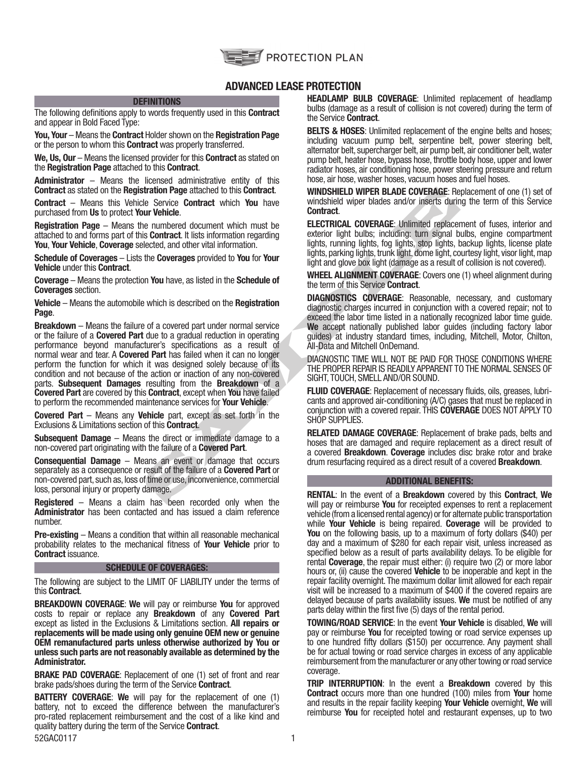

# ADVANCED LEASE PROTECTION

### **DEFINITIONS**

The following definitions apply to words frequently used in this **Contract** and appear in Bold Faced Type:

You, Your – Means the Contract Holder shown on the Registration Page or the person to whom this **Contract** was properly transferred.

We, Us, Our – Means the licensed provider for this Contract as stated on the Registration Page attached to this Contract.

Administrator – Means the licensed administrative entity of this Contract as stated on the Registration Page attached to this Contract.

Contract – Means this Vehicle Service Contract which You have purchased from Us to protect Your Vehicle.

Registration Page – Means the numbered document which must be attached to and forms part of this Contract. It lists information regarding You, Your Vehicle, Coverage selected, and other vital information.

Schedule of Coverages – Lists the Coverages provided to You for Your Vehicle under this Contract.

Coverage – Means the protection You have, as listed in the Schedule of Coverages section.

Vehicle – Means the automobile which is described on the Registration Page.

stration Page attached to this Contract.<br>
WindShileLD WIPER BLADE COVERAGE: Re<br>
Survey Vehicle.<br>
Survey in the contract which must be<br>
numbered document which must be<br>
the mumbered document which must be<br>
ELECTRICAL COVERA Breakdown – Means the failure of a covered part under normal service or the failure of a **Covered Part** due to a gradual reduction in operating performance beyond manufacturer's specifications as a result of normal wear and tear. A Covered Part has failed when it can no longer perform the function for which it was designed solely because of its condition and not because of the action or inaction of any non-covered parts. Subsequent Damages resulting from the Breakdown of a Covered Part are covered by this Contract, except when You have failed to perform the recommended maintenance services for Your Vehicle.

Covered Part – Means any Vehicle part, except as set forth in the Exclusions & Limitations section of this Contract.

Subsequent Damage – Means the direct or immediate damage to a non-covered part originating with the failure of a Covered Part.

Consequential Damage – Means an event or damage that occurs separately as a consequence or result of the failure of a Covered Part or non-covered part, such as, loss of time or use, inconvenience, commercial loss, personal injury or property damage.

Registered – Means a claim has been recorded only when the Administrator has been contacted and has issued a claim reference number.

Pre-existing – Means a condition that within all reasonable mechanical probability relates to the mechanical fitness of **Your Vehicle** prior to Contract issuance.

### SCHEDULE OF COVERAGES:

The following are subject to the LIMIT OF LIABILITY under the terms of this Contract.

BREAKDOWN COVERAGE: We will pay or reimburse You for approved costs to repair or replace any Breakdown of any Covered Part except as listed in the Exclusions & Limitations section. All repairs or replacements will be made using only genuine OEM new or genuine OEM remanufactured parts unless otherwise authorized by You or unless such parts are not reasonably available as determined by the Administrator.

BRAKE PAD COVERAGE: Replacement of one (1) set of front and rear brake pads/shoes during the term of the Service Contract.

52GAC0117 1 BATTERY COVERAGE: We will pay for the replacement of one (1) battery, not to exceed the difference between the manufacturer's pro-rated replacement reimbursement and the cost of a like kind and quality battery during the term of the Service **Contract**.

**HEADLAMP BULB COVERAGE:** Unlimited replacement of headlamp bulbs (damage as a result of collision is not covered) during the term of the Service Contract.

**BELTS & HOSES:** Unlimited replacement of the engine belts and hoses; including vacuum pump belt, serpentine belt, power steering belt, alternator belt, supercharger belt, air pump belt, air conditioner belt, water pump belt, heater hose, bypass hose, throttle body hose, upper and lower radiator hoses, air conditioning hose, power steering pressure and return hose, air hose, washer hoses, vacuum hoses and fuel hoses.

WINDSHIELD WIPER BLADE COVERAGE: Replacement of one (1) set of windshield wiper blades and/or inserts during the term of this Service Contract.

ELECTRICAL COVERAGE: Unlimited replacement of fuses, interior and exterior light bulbs; including: turn signal bulbs, engine compartment lights, running lights, fog lights, stop lights, backup lights, license plate lights, parking lights, trunk light, dome light, courtesy light, visor light, map light and glove box light (damage as a result of collision is not covered).

WHEEL ALIGNMENT COVERAGE: Covers one (1) wheel alignment during the term of this Service Contract.

DIAGNOSTICS COVERAGE: Reasonable, necessary, and customary diagnostic charges incurred in conjunction with a covered repair; not to exceed the labor time listed in a nationally recognized labor time guide. We accept nationally published labor guides (including factory labor guides) at industry standard times, including, Mitchell, Motor, Chilton, All-Data and Mitchell OnDemand.

DIAGNOSTIC TIME WILL NOT BE PAID FOR THOSE CONDITIONS WHERE THE PROPER REPAIR IS READILY APPARENT TO THE NORMAL SENSES OF SIGHT, TOUCH, SMELL AND/OR SOUND.

FLUID COVERAGE: Replacement of necessary fluids, oils, greases, lubricants and approved air-conditioning (A/C) gases that must be replaced in conjunction with a covered repair. THIS COVERAGE DOES NOT APPLY TO SHOP SUPPLIES.

RELATED DAMAGE COVERAGE: Replacement of brake pads, belts and hoses that are damaged and require replacement as a direct result of a covered Breakdown. Coverage includes disc brake rotor and brake drum resurfacing required as a direct result of a covered Breakdown.

### ADDITIONAL BENEFITS:

RENTAL: In the event of a Breakdown covered by this Contract, We will pay or reimburse You for receipted expenses to rent a replacement vehicle (from a licensed rental agency) or for alternate public transportation while **Your Vehicle** is being repaired. Coverage will be provided to You on the following basis, up to a maximum of forty dollars (\$40) per day and a maximum of \$280 for each repair visit, unless increased as specified below as a result of parts availability delays. To be eligible for rental Coverage, the repair must either: (i) require two (2) or more labor hours or, (ii) cause the covered Vehicle to be inoperable and kept in the repair facility overnight. The maximum dollar limit allowed for each repair visit will be increased to a maximum of \$400 if the covered repairs are delayed because of parts availability issues. We must be notified of any parts delay within the first five (5) days of the rental period.

TOWING/ROAD SERVICE: In the event Your Vehicle is disabled, We will pay or reimburse You for receipted towing or road service expenses up to one hundred fifty dollars (\$150) per occurrence. Any payment shall be for actual towing or road service charges in excess of any applicable reimbursement from the manufacturer or any other towing or road service coverage.

TRIP INTERRUPTION: In the event a Breakdown covered by this **Contract** occurs more than one hundred (100) miles from **Your** home and results in the repair facility keeping Your Vehicle overnight, We will reimburse You for receipted hotel and restaurant expenses, up to two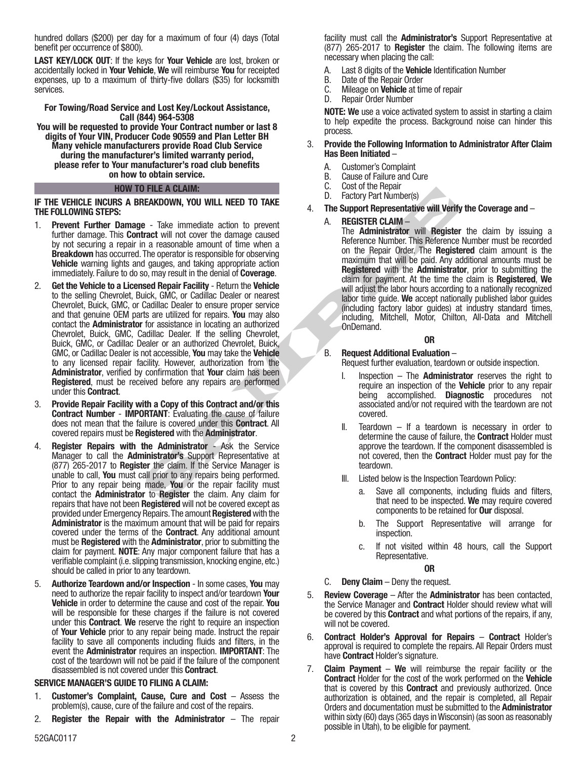hundred dollars (\$200) per day for a maximum of four (4) days (Total benefit per occurrence of \$800).

LAST KEY/LOCK OUT: If the keys for Your Vehicle are lost, broken or accidentally locked in Your Vehicle, We will reimburse You for receipted expenses, up to a maximum of thirty-five dollars (\$35) for locksmith services.

### For Towing/Road Service and Lost Key/Lockout Assistance, Call (844) 964-5308

You will be requested to provide Your Contract number or last 8 digits of Your VIN, Producer Code 90559 and Plan Letter BH Many vehicle manufacturers provide Road Club Service during the manufacturer's limited warranty period, please refer to Your manufacturer's road club benefits on how to obtain service.

### HOW TO FILE A CLAIM:

### IF THE VEHICLE INCURS A BREAKDOWN, YOU WILL NEED TO TAKE THE FOLLOWING STEPS:

- 1. Prevent Further Damage Take immediate action to prevent further damage. This **Contract** will not cover the damage caused by not securing a repair in a reasonable amount of time when a Breakdown has occurred. The operator is responsible for observing Vehicle warning lights and gauges, and taking appropriate action immediately. Failure to do so, may result in the denial of Coverage.
- **EXAMONW, YOU WILL NEED TO TAKE**<br>
C. Coasion of the person and the neglister the damage caused<br>
The **Support Representative will Verify<br>
a.** The Support Representative will Verify<br>
a. The Support Representative will Verify 2. Get the Vehicle to a Licensed Repair Facility - Return the Vehicle to the selling Chevrolet, Buick, GMC, or Cadillac Dealer or nearest Chevrolet, Buick, GMC, or Cadillac Dealer to ensure proper service and that genuine OEM parts are utilized for repairs. You may also contact the Administrator for assistance in locating an authorized Chevrolet, Buick, GMC, Cadillac Dealer. If the selling Chevrolet, Buick, GMC, or Cadillac Dealer or an authorized Chevrolet, Buick, GMC, or Cadillac Dealer is not accessible, You may take the Vehicle to any licensed repair facility. However, authorization from the Administrator, verified by confirmation that Your claim has been Registered, must be received before any repairs are performed under this Contract.
- 3. Provide Repair Facility with a Copy of this Contract and/or this Contract Number - IMPORTANT: Evaluating the cause of failure does not mean that the failure is covered under this Contract. All covered repairs must be Registered with the Administrator.
- 4. Register Repairs with the Administrator Ask the Service Manager to call the Administrator's Support Representative at (877) 265-2017 to Register the claim. If the Service Manager is unable to call, You must call prior to any repairs being performed. Prior to any repair being made, You or the repair facility must contact the **Administrator** to **Register** the claim. Any claim for repairs that have not been **Registered** will not be covered except as provided under Emergency Repairs. The amount Registered with the Administrator is the maximum amount that will be paid for repairs covered under the terms of the Contract. Any additional amount must be Registered with the Administrator, prior to submitting the claim for payment. NOTE: Any major component failure that has a verifiable complaint (i.e. slipping transmission, knocking engine, etc.) should be called in prior to any teardown.
- 5. Authorize Teardown and/or Inspection In some cases, You may need to authorize the repair facility to inspect and/or teardown Your Vehicle in order to determine the cause and cost of the repair. You will be responsible for these charges if the failure is not covered under this Contract. We reserve the right to require an inspection of Your Vehicle prior to any repair being made. Instruct the repair facility to save all components including fluids and filters, in the event the Administrator requires an inspection. IMPORTANT: The cost of the teardown will not be paid if the failure of the component disassembled is not covered under this Contract.

## SERVICE MANAGER'S GUIDE TO FILING A CLAIM:

- 1. Customer's Complaint, Cause, Cure and Cost Assess the problem(s), cause, cure of the failure and cost of the repairs.
- 2. **Register the Repair with the Administrator**  $-$  The repair

facility must call the **Administrator's** Support Representative at (877) 265-2017 to Register the claim. The following items are necessary when placing the call:

- A. Last 8 digits of the Vehicle Identification Number
- 
- B. Date of the Repair Order<br>C. Mileage on **Vehicle** at tir C. Mileage on **Vehicle** at time of repair<br>D. Repair Order Number
- Repair Order Number

NOTE: We use a voice activated system to assist in starting a claim to help expedite the process. Background noise can hinder this process.

### 3. Provide the Following Information to Administrator After Claim Has Been Initiated –

- 
- A. Customer's Complaint
- B. Cause of Failure and Cure<br>C. Cost of the Repair Cost of the Repair
- D. Factory Part Number(s)
- 4. The Support Representative will Verify the Coverage and –

## A. REGISTER CLAIM –

The **Administrator** will **Register** the claim by issuing a Reference Number. This Reference Number must be recorded on the Repair Order. The Registered claim amount is the maximum that will be paid. Any additional amounts must be Registered with the Administrator, prior to submitting the claim for payment. At the time the claim is Registered, We will adjust the labor hours according to a nationally recognized labor time guide. We accept nationally published labor guides (including factory labor guides) at industry standard times, including, Mitchell, Motor, Chilton, All-Data and Mitchell OnDemand.

## OR

## B. Request Additional Evaluation –

- Request further evaluation, teardown or outside inspection.
- I. Inspection  $-$  The **Administrator** reserves the right to require an inspection of the Vehicle prior to any repair being accomplished. Diagnostic procedures not associated and/or not required with the teardown are not covered.
- II. Teardown  $-$  If a teardown is necessary in order to determine the cause of failure, the Contract Holder must approve the teardown. If the component disassembled is not covered, then the Contract Holder must pay for the teardown.
- III. Listed below is the Inspection Teardown Policy:
	- a. Save all components, including fluids and filters, that need to be inspected. We may require covered components to be retained for Our disposal.
	- b. The Support Representative will arrange for inspection.
	- c. If not visited within 48 hours, call the Support Representative.

## OR

- C. Deny Claim Deny the request.
- 5. Review Coverage After the Administrator has been contacted, the Service Manager and **Contract** Holder should review what will be covered by this **Contract** and what portions of the repairs, if any, will not be covered.
- 6. Contract Holder's Approval for Repairs Contract Holder's approval is required to complete the repairs. All Repair Orders must have **Contract** Holder's signature.
- 7. **Claim Payment We** will reimburse the repair facility or the Contract Holder for the cost of the work performed on the Vehicle that is covered by this **Contract** and previously authorized. Once authorization is obtained, and the repair is completed, all Repair Orders and documentation must be submitted to the Administrator within sixty (60) days (365 days in Wisconsin) (as soon as reasonably possible in Utah), to be eligible for payment.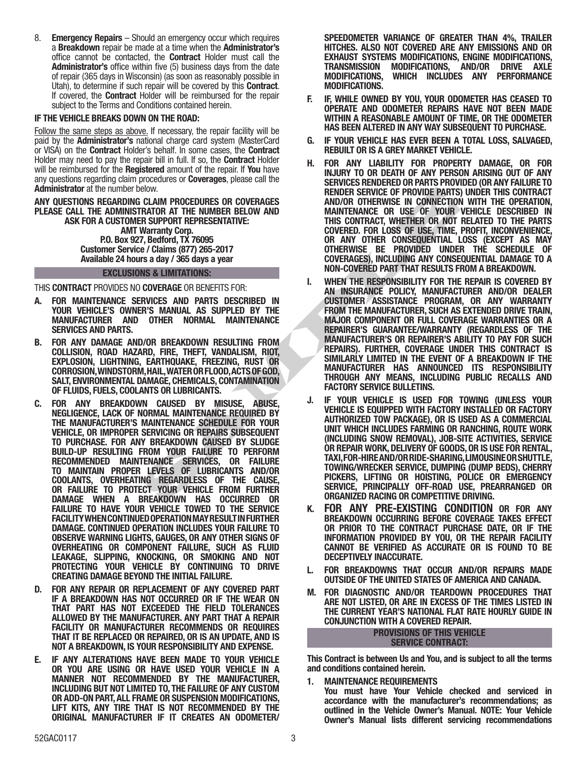8. **Emergency Repairs** – Should an emergency occur which requires a Breakdown repair be made at a time when the Administrator's office cannot be contacted, the Contract Holder must call the Administrator's office within five (5) business days from the date of repair (365 days in Wisconsin) (as soon as reasonably possible in Utah), to determine if such repair will be covered by this Contract. If covered, the Contract Holder will be reimbursed for the repair subject to the Terms and Conditions contained herein.

## IF THE VEHICLE BREAKS DOWN ON THE ROAD:

Follow the same steps as above. If necessary, the repair facility will be paid by the Administrator's national charge card system (MasterCard or VISA) on the Contract Holder's behalf. In some cases, the Contract Holder may need to pay the repair bill in full. If so, the **Contract** Holder will be reimbursed for the **Registered** amount of the repair. If **You** have any questions regarding claim procedures or Coverages, please call the Administrator at the number below.

ANY QUESTIONS REGARDING CLAIM PROCEDURES OR COVERAGES PLEASE CALL THE ADMINISTRATOR AT THE NUMBER BELOW AND ASK FOR A CUSTOMER SUPPORT REPRESENTATIVE: AMT Warranty Corp. P.O. Box 927, Bedford, TX 76095 Customer Service / Claims (877) 265-2017 Available 24 hours a day / 365 days a year

## EXCLUSIONS & LIMITATIONS:

THIS CONTRACT PROVIDES NO COVERAGE OR BENEFITS FOR:

- A. FOR MAINTENANCE SERVICES AND PARTS DESCRIBED IN YOUR VEHICLE'S OWNER'S MANUAL AS SUPPLED BY THE MANUFACTURER AND OTHER NORMAL MAINTENANCE SERVICES AND PARTS.
- B. FOR ANY DAMAGE AND/OR BREAKDOWN RESULTING FROM COLLISION, ROAD HAZARD, FIRE, THEFT, VANDALISM, RIOT, EXPLOSION, LIGHTNING, EARTHQUAKE, FREEZING, RUST OR CORROSION, WINDSTORM, HAIL, WATER OR FLOOD, ACTS OF GOD, SALT, ENVIRONMENTAL DAMAGE, CHEMICALS, CONTAMINATION OF FLUIDS, FUELS, COOLANTS OR LUBRICANTS.
- C. FOR ANY BREAKDOWN CAUSED BY MISUSE, ABUSE, NEGLIGENCE, LACK OF NORMAL MAINTENANCE REQUIRED BY THE MANUFACTURER'S MAINTENANCE SCHEDULE FOR YOUR VEHICLE, OR IMPROPER SERVICING OR REPAIRS SUBSEQUENT TO PURCHASE. FOR ANY BREAKDOWN CAUSED BY SLUDGE BUILD-UP RESULTING FROM YOUR FAILURE TO PERFORM RECOMMENDED MAINTENANCE SERVICES, OR FAILURE TO MAINTAIN PROPER LEVELS OF LUBRICANTS AND/OR COOLANTS, OVERHEATING REGARDLESS OF THE CAUSE, OR FAILURE TO PROTECT YOUR VEHICLE FROM FURTHER DAMAGE WHEN A BREAKDOWN HAS OCCURRED OR FAILURE TO HAVE YOUR VEHICLE TOWED TO THE SERVICE FACILITY WHEN CONTINUED OPERATION MAY RESULT IN FURTHER DAMAGE. CONTINUED OPERATION INCLUDES YOUR FAILURE TO OBSERVE WARNING LIGHTS, GAUGES, OR ANY OTHER SIGNS OF OVERHEATING OR COMPONENT FAILURE, SUCH AS FLUID LEAKAGE, SLIPPING, KNOCKING, OR SMOKING AND NOT PROTECTING YOUR VEHICLE BY CONTINUING TO DRIVE CREATING DAMAGE BEYOND THE INITIAL FAILURE.
- D. FOR ANY REPAIR OR REPLACEMENT OF ANY COVERED PART IF A BREAKDOWN HAS NOT OCCURRED OR IF THE WEAR ON THAT PART HAS NOT EXCEEDED THE FIELD TOLERANCES ALLOWED BY THE MANUFACTURER. ANY PART THAT A REPAIR FACILITY OR MANUFACTURER RECOMMENDS OR REQUIRES THAT IT BE REPLACED OR REPAIRED, OR IS AN UPDATE, AND IS NOT A BREAKDOWN, IS YOUR RESPONSIBILITY AND EXPENSE.
- E. IF ANY ALTERATIONS HAVE BEEN MADE TO YOUR VEHICLE OR YOU ARE USING OR HAVE USED YOUR VEHICLE IN A MANNER NOT RECOMMENDED BY THE MANUFACTURER, INCLUDING BUT NOT LIMITED TO, THE FAILURE OF ANY CUSTOM OR ADD-ON PART, ALL FRAME OR SUSPENSION MODIFICATIONS, LIFT KITS, ANY TIRE THAT IS NOT RECOMMENDED BY THE ORIGINAL MANUFACTURER IF IT CREATES AN ODOMETER/

SPEEDOMETER VARIANCE OF GREATER THAN 4%, TRAILER HITCHES. ALSO NOT COVERED ARE ANY EMISSIONS AND OR EXHAUST SYSTEMS MODIFICATIONS, ENGINE MODIFICATIONS, TRANSMISSION MODIFICATIONS, AND/OR<br>MODIFICATIONS, WHICH INCLUDES ANY WHICH INCLUDES ANY PERFORMANCE MODIFICATIONS.

- F. IF, WHILE OWNED BY YOU, YOUR ODOMETER HAS CEASED TO OPERATE AND ODOMETER REPAIRS HAVE NOT BEEN MADE WITHIN A REASONABLE AMOUNT OF TIME, OR THE ODOMETER HAS BEEN ALTERED IN ANY WAY SUBSEQUENT TO PURCHASE.
- G. IF YOUR VEHICLE HAS EVER BEEN A TOTAL LOSS, SALVAGED, REBUILT OR IS A GREY MARKET VEHICLE.
- H. FOR ANY LIABILITY FOR PROPERTY DAMAGE, OR FOR INJURY TO OR DEATH OF ANY PERSON ARISING OUT OF ANY SERVICES RENDERED OR PARTS PROVIDED (OR ANY FAILURE TO RENDER SERVICE OF PROVIDE PARTS) UNDER THIS CONTRACT AND/OR OTHERWISE IN CONNECTION WITH THE OPERATION, MAINTENANCE OR USE OF YOUR VEHICLE DESCRIBED IN THIS CONTRACT, WHETHER OR NOT RELATED TO THE PARTS COVERED. FOR LOSS OF USE, TIME, PROFIT, INCONVENIENCE, OR ANY OTHER CONSEQUENTIAL LOSS (EXCEPT AS MAY OTHERWISE BE PROVIDED UNDER THE SCHEDULE OF COVERAGES), INCLUDING ANY CONSEQUENTIAL DAMAGE TO A NON-COVERED PART THAT RESULTS FROM A BREAKDOWN.
- ENDER THE REPORT THE RESPONSIBLY YOUR PAPAIRS SERVICING AND PROVIDE PARTHOLOGY (FOUND PREPAIRS). THE SAMPLE AND COVERAGE OF MANY ONES (FIGHER OF MAY ONES AND PARTHOLOGY (FOUND THE RESPONSIBLITY FOR NOT A AND PARTHOLOGY (FO I. WHEN THE RESPONSIBILITY FOR THE REPAIR IS COVERED BY AN INSURANCE POLICY, MANUFACTURER AND/OR DEALER CUSTOMER ASSISTANCE PROGRAM, OR ANY WARRANTY FROM THE MANUFACTURER, SUCH AS EXTENDED DRIVE TRAIN, MAJOR COMPONENT OR FULL COVERAGE WARRANTIES OR A REPAIRER'S GUARANTEE/WARRANTY (REGARDLESS OF THE MANUFACTURER'S OR REPAIRER'S ABILITY TO PAY FOR SUCH REPAIRS). FURTHER, COVERAGE UNDER THIS CONTRACT IS SIMILARLY LIMITED IN THE EVENT OF A BREAKDOWN IF THE MANUFACTURER HAS ANNOUNCED ITS RESPONSIBILITY THROUGH ANY MEANS, INCLUDING PUBLIC RECALLS AND FACTORY SERVICE BULLETINS.
	- J. IF YOUR VEHICLE IS USED FOR TOWING (UNLESS YOUR VEHICLE IS EQUIPPED WITH FACTORY INSTALLED OR FACTORY AUTHORIZED TOW PACKAGE), OR IS USED AS A COMMERCIAL UNIT WHICH INCLUDES FARMING OR RANCHING, ROUTE WORK (INCLUDING SNOW REMOVAL), JOB-SITE ACTIVITIES, SERVICE OR REPAIR WORK, DELIVERY OF GOODS, OR IS USE FOR RENTAL, TAXI, FOR-HIRE AND/OR RIDE-SHARING, LIMOUSINE OR SHUTTLE, TOWING/WRECKER SERVICE, DUMPING (DUMP BEDS), CHERRY PICKERS, LIFTING OR HOISTING, POLICE OR EMERGENCY SERVICE, PRINCIPALLY OFF-ROAD USE, PREARRANGED OR ORGANIZED RACING OR COMPETITIVE DRIVING.
	- K. FOR ANY PRE-EXISTING CONDITION OR FOR ANY BREAKDOWN OCCURRING BEFORE COVERAGE TAKES EFFECT OR PRIOR TO THE CONTRACT PURCHASE DATE, OR IF THE INFORMATION PROVIDED BY YOU, OR THE REPAIR FACILITY CANNOT BE VERIFIED AS ACCURATE OR IS FOUND TO BE DECEPTIVELY INACCURATE.
	- L. FOR BREAKDOWNS THAT OCCUR AND/OR REPAIRS MADE OUTSIDE OF THE UNITED STATES OF AMERICA AND CANADA.
	- M. FOR DIAGNOSTIC AND/OR TEARDOWN PROCEDURES THAT ARE NOT LISTED, OR ARE IN EXCESS OF THE TIMES LISTED IN THE CURRENT YEAR'S NATIONAL FLAT RATE HOURLY GUIDE IN CONJUNCTION WITH A COVERED REPAIR.

#### PROVISIONS OF THIS VEHICLE SERVICE CONTRACT:

This Contract is between Us and You, and is subject to all the terms and conditions contained herein.

1. MAINTENANCE REQUIREMENTS You must have Your Vehicle checked and serviced in accordance with the manufacturer's recommendations; as outlined in the Vehicle Owner's Manual. NOTE: Your Vehicle Owner's Manual lists different servicing recommendations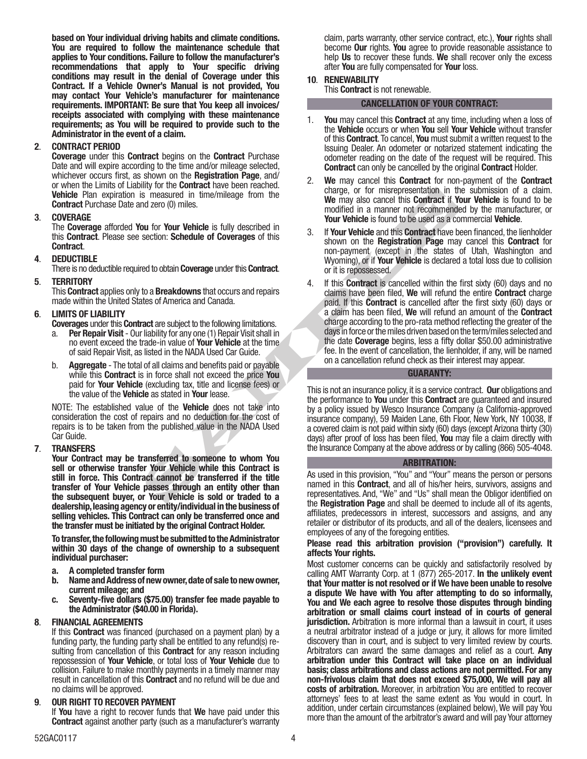based on Your individual driving habits and climate conditions. You are required to follow the maintenance schedule that applies to Your conditions. Failure to follow the manufacturer's recommendations that apply to Your specific driving conditions may result in the denial of Coverage under this Contract. If a Vehicle Owner's Manual is not provided, You may contact Your Vehicle's manufacturer for maintenance requirements. IMPORTANT: Be sure that You keep all invoices/ receipts associated with complying with these maintenance requirements; as You will be required to provide such to the Administrator in the event of a claim.

## 2. CONTRACT PERIOD

Coverage under this Contract begins on the Contract Purchase Date and will expire according to the time and/or mileage selected, whichever occurs first, as shown on the **Registration Page**, and/ or when the Limits of Liability for the Contract have been reached. Vehicle Plan expiration is measured in time/mileage from the Contract Purchase Date and zero (0) miles.

## 3. COVERAGE

The Coverage afforded You for Your Vehicle is fully described in this Contract. Please see section: Schedule of Coverages of this Contract.

## 4. DEDUCTIBLE

There is no deductible required to obtain **Coverage** under this **Contract**.

## 5. TERRITORY

This **Contract** applies only to a **Breakdowns** that occurs and repairs made within the United States of America and Canada.

## 6. LIMITS OF LIABILITY

- Coverages under this Contract are subject to the following limitations.
- a. **Per Repair Visit** Our liability for any one (1) Repair Visit shall in no event exceed the trade-in value of Your Vehicle at the time of said Repair Visit, as listed in the NADA Used Car Guide.
- b. Aggregate The total of all claims and benefits paid or payable while this **Contract** is in force shall not exceed the price You paid for Your Vehicle (excluding tax, title and license fees) or the value of the Vehicle as stated in Your lease.

NOTE: The established value of the Vehicle does not take into consideration the cost of repairs and no deduction for the cost of repairs is to be taken from the published value in the NADA Used Car Guide.

## 7. TRANSFERS

Your Contract may be transferred to someone to whom You sell or otherwise transfer Your Vehicle while this Contract is still in force. This Contract cannot be transferred if the title transfer of Your Vehicle passes through an entity other than the subsequent buyer, or Your Vehicle is sold or traded to a dealership, leasing agency or entity/individual in the business of selling vehicles. This Contract can only be transferred once and the transfer must be initiated by the original Contract Holder.

To transfer, the following must be submitted to the Administrator within 30 days of the change of ownership to a subsequent individual purchaser:

- a. A completed transfer form
- b. Name and Address of new owner, date of sale to new owner, current mileage; and
- c. Seventy-five dollars (\$75.00) transfer fee made payable to the Administrator (\$40.00 in Florida).

## 8. FINANCIAL AGREEMENTS

If this Contract was financed (purchased on a payment plan) by a funding party, the funding party shall be entitled to any refund(s) resulting from cancellation of this **Contract** for any reason including repossession of Your Vehicle, or total loss of Your Vehicle due to collision. Failure to make monthly payments in a timely manner may result in cancellation of this Contract and no refund will be due and no claims will be approved.

## 9. OUR RIGHT TO RECOVER PAYMENT

If You have a right to recover funds that We have paid under this Contract against another party (such as a manufacturer's warranty claim, parts warranty, other service contract, etc.), Your rights shall become **Our** rights. You agree to provide reasonable assistance to help Us to recover these funds. We shall recover only the excess after You are fully compensated for Your loss.

## 10. RENEWABILITY

This **Contract** is not renewable.

## CANCELLATION OF YOUR CONTRACT:

- 1. You may cancel this Contract at any time, including when a loss of the Vehicle occurs or when You sell Your Vehicle without transfer of this Contract. To cancel, You must submit a written request to the Issuing Dealer. An odometer or notarized statement indicating the odometer reading on the date of the request will be required. This Contract can only be cancelled by the original Contract Holder.
- 2. We may cancel this **Contract** for non-payment of the **Contract** charge, or for misrepresentation in the submission of a claim. We may also cancel this **Contract if Your Vehicle** is found to be modified in a manner not recommended by the manufacturer, or Your Vehicle is found to be used as a commercial Vehicle.
- 3. If Your Vehicle and this Contract have been financed, the lienholder shown on the Registration Page may cancel this Contract for non-payment (except in the states of Utah, Washington and Wyoming), or if **Your Vehicle** is declared a total loss due to collision or it is repossessed.
- may also careed in the methods that we have been the that of on misearce on the methods.<br>
Sure of Your Vehicle is fully described in the may also careel this Contract if We may also careel this Contract section. Schedule o 4. If this **Contract** is cancelled within the first sixty (60) days and no claims have been filed, We will refund the entire Contract charge paid. If this Contract is cancelled after the first sixty (60) days or a claim has been filed, We will refund an amount of the Contract charge according to the pro-rata method reflecting the greater of the days in force or the miles driven based on the term/miles selected and the date Coverage begins, less a fifty dollar \$50.00 administrative fee. In the event of cancellation, the lienholder, if any, will be named on a cancellation refund check as their interest may appear.

## GUARANTY:

This is not an insurance policy, it is a service contract. Our obligations and the performance to You under this Contract are guaranteed and insured by a policy issued by Wesco Insurance Company (a California-approved insurance company), 59 Maiden Lane, 6th Floor, New York, NY 10038, If a covered claim is not paid within sixty (60) days (except Arizona thirty (30) days) after proof of loss has been filed, You may file a claim directly with the Insurance Company at the above address or by calling (866) 505-4048.

## ARBITRATION:

As used in this provision, "You" and "Your" means the person or persons named in this Contract, and all of his/her heirs, survivors, assigns and representatives. And, "We" and "Us" shall mean the Obligor identified on the Registration Page and shall be deemed to include all of its agents, affiliates, predecessors in interest, successors and assigns, and any retailer or distributor of its products, and all of the dealers, licensees and employees of any of the foregoing entities.

## Please read this arbitration provision ("provision") carefully. It affects Your rights.

Most customer concerns can be quickly and satisfactorily resolved by calling AMT Warranty Corp. at 1 (877) 265-2017. In the unlikely event that Your matter is not resolved or if We have been unable to resolve a dispute We have with You after attempting to do so informally, You and We each agree to resolve those disputes through binding arbitration or small claims court instead of in courts of general jurisdiction. Arbitration is more informal than a lawsuit in court, it uses a neutral arbitrator instead of a judge or jury, it allows for more limited discovery than in court, and is subject to very limited review by courts. Arbitrators can award the same damages and relief as a court. Any arbitration under this Contract will take place on an individual basis; class arbitrations and class actions are not permitted. For any non-frivolous claim that does not exceed \$75,000, We will pay all costs of arbitration. Moreover, in arbitration You are entitled to recover attorneys' fees to at least the same extent as You would in court. In addition, under certain circumstances (explained below), We will pay You more than the amount of the arbitrator's award and will pay Your attorney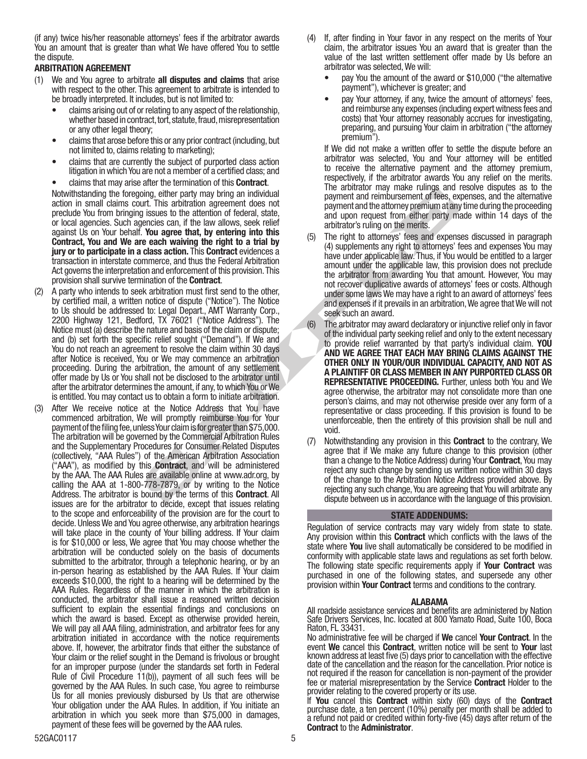(if any) twice his/her reasonable attorneys' fees if the arbitrator awards You an amount that is greater than what We have offered You to settle the dispute.

## ARBITRATION AGREEMENT

- (1) We and You agree to arbitrate all disputes and claims that arise with respect to the other. This agreement to arbitrate is intended to be broadly interpreted. It includes, but is not limited to:
	- claims arising out of or relating to any aspect of the relationship, whether based in contract, tort, statute, fraud, misrepresentation or any other legal theory;
	- claims that arose before this or any prior contract (including, but not limited to, claims relating to marketing);
	- claims that are currently the subject of purported class action litigation in which You are not a member of a certified class; and
	- claims that may arise after the termination of this **Contract**.

Notwithstanding the foregoing, either party may bring an individual action in small claims court. This arbitration agreement does not preclude You from bringing issues to the attention of federal, state, or local agencies. Such agencies can, if the law allows, seek relief against Us on Your behalf. You agree that, by entering into this Contract, You and We are each waiving the right to a trial by jury or to participate in a class action. This Contract evidences a transaction in interstate commerce, and thus the Federal Arbitration Act governs the interpretation and enforcement of this provision. This provision shall survive termination of the Contract.

- (2) A party who intends to seek arbitration must first send to the other, by certified mail, a written notice of dispute ("Notice"). The Notice to Us should be addressed to: Legal Depart., AMT Warranty Corp., 2200 Highway 121, Bedford, TX 76021 ("Notice Address"). The Notice must (a) describe the nature and basis of the claim or dispute; and (b) set forth the specific relief sought ("Demand"). If We and You do not reach an agreement to resolve the claim within 30 days after Notice is received, You or We may commence an arbitration proceeding. During the arbitration, the amount of any settlement offer made by Us or You shall not be disclosed to the arbitrator until after the arbitrator determines the amount, if any, to which You or We is entitled. You may contact us to obtain a form to initiate arbitration.
- (3) After We receive notice at the Notice Address that You have commenced arbitration, We will promptly reimburse You for Your payment of the filing fee, unless Your claim is for greater than \$75,000. The arbitration will be governed by the Commercial Arbitration Rules and the Supplementary Procedures for Consumer Related Disputes (collectively, "AAA Rules") of the American Arbitration Association ("AAA"), as modified by this **Contract**, and will be administered by the AAA. The AAA Rules are available online at www.adr.org, by calling the AAA at 1-800-778-7879, or by writing to the Notice Address. The arbitrator is bound by the terms of this Contract. All issues are for the arbitrator to decide, except that issues relating to the scope and enforceability of the provision are for the court to decide. Unless We and You agree otherwise, any arbitration hearings will take place in the county of Your billing address. If Your claim is for \$10,000 or less, We agree that You may choose whether the arbitration will be conducted solely on the basis of documents submitted to the arbitrator, through a telephonic hearing, or by an in-person hearing as established by the AAA Rules. If Your claim exceeds \$10,000, the right to a hearing will be determined by the AAA Rules. Regardless of the manner in which the arbitration is conducted, the arbitrator shall issue a reasoned written decision sufficient to explain the essential findings and conclusions on which the award is based. Except as otherwise provided herein, We will pay all AAA filing, administration, and arbitrator fees for any arbitration initiated in accordance with the notice requirements above. If, however, the arbitrator finds that either the substance of Your claim or the relief sought in the Demand is frivolous or brought for an improper purpose (under the standards set forth in Federal Rule of Civil Procedure 11(b)), payment of all such fees will be governed by the AAA Rules. In such case, You agree to reimburse Us for all monies previously disbursed by Us that are otherwise Your obligation under the AAA Rules. In addition, if You initiate an arbitration in which you seek more than \$75,000 in damages, payment of these fees will be governed by the AAA rules.
- (4) If, after finding in Your favor in any respect on the merits of Your claim, the arbitrator issues You an award that is greater than the value of the last written settlement offer made by Us before an arbitrator was selected, We will:
	- pay You the amount of the award or \$10,000 ("the alternative payment"), whichever is greater; and
	- pay Your attorney, if any, twice the amount of attorneys' fees, and reimburse any expenses (including expert witness fees and costs) that Your attorney reasonably accrues for investigating, preparing, and pursuing Your claim in arbitration ("the attorney premium").

If We did not make a written offer to settle the dispute before an arbitrator was selected, You and Your attorney will be entitled to receive the alternative payment and the attorney premium, respectively, if the arbitrator awards You any relief on the merits. The arbitrator may make rulings and resolve disputes as to the payment and reimbursement of fees, expenses, and the alternative payment and the attorney premium at any time during the proceeding and upon request from either party made within 14 days of the arbitrator's ruling on the merits.

- (5) The right to attorneys' fees and expenses discussed in paragraph (4) supplements any right to attorneys' fees and expenses You may have under applicable law. Thus, if You would be entitled to a larger amount under the applicable law, this provision does not preclude the arbitrator from awarding You that amount. However, You may not recover duplicative awards of attorneys' fees or costs. Although under some laws We may have a right to an award of attorneys' fees and expenses if it prevails in an arbitration, We agree that We will not seek such an award.
- oing, either party may bring an individual<br>
The anitural trial control of the action of presentations and the section and the section and the section of sections and the anity of the law allows seek relief and the methods (6) The arbitrator may award declaratory or injunctive relief only in favor of the individual party seeking relief and only to the extent necessary to provide relief warranted by that party's individual claim. YOU AND WE AGREE THAT EACH MAY BRING CLAIMS AGAINST THE OTHER ONLY IN YOUR/OUR INDIVIDUAL CAPACITY, AND NOT AS A PLAINTIFF OR CLASS MEMBER IN ANY PURPORTED CLASS OR REPRESENTATIVE PROCEEDING. Further, unless both You and We agree otherwise, the arbitrator may not consolidate more than one person's claims, and may not otherwise preside over any form of a representative or class proceeding. If this provision is found to be unenforceable, then the entirety of this provision shall be null and void.
	- (7) Notwithstanding any provision in this Contract to the contrary, We agree that if We make any future change to this provision (other than a change to the Notice Address) during Your **Contract**, You may reject any such change by sending us written notice within 30 days of the change to the Arbitration Notice Address provided above. By rejecting any such change, You are agreeing that You will arbitrate any dispute between us in accordance with the language of this provision.

## STATE ADDENDUMS:

Regulation of service contracts may vary widely from state to state. Any provision within this **Contract** which conflicts with the laws of the state where You live shall automatically be considered to be modified in conformity with applicable state laws and regulations as set forth below. The following state specific requirements apply if **Your Contract** was purchased in one of the following states, and supersede any other provision within Your Contract terms and conditions to the contrary.

## ALABAMA

All roadside assistance services and benefits are administered by Nation Safe Drivers Services, Inc. located at 800 Yamato Road, Suite 100, Boca Raton, FL 33431.

No administrative fee will be charged if We cancel Your Contract. In the event We cancel this Contract, written notice will be sent to Your last known address at least five (5) days prior to cancellation with the effective date of the cancellation and the reason for the cancellation. Prior notice is not required if the reason for cancellation is non-payment of the provider fee or material misrepresentation by the Service Contract Holder to the provider relating to the covered property or its use.

If You cancel this Contract within sixty (60) days of the Contract purchase date, a ten percent (10%) penalty per month shall be added to a refund not paid or credited within forty-five (45) days after return of the Contract to the Administrator.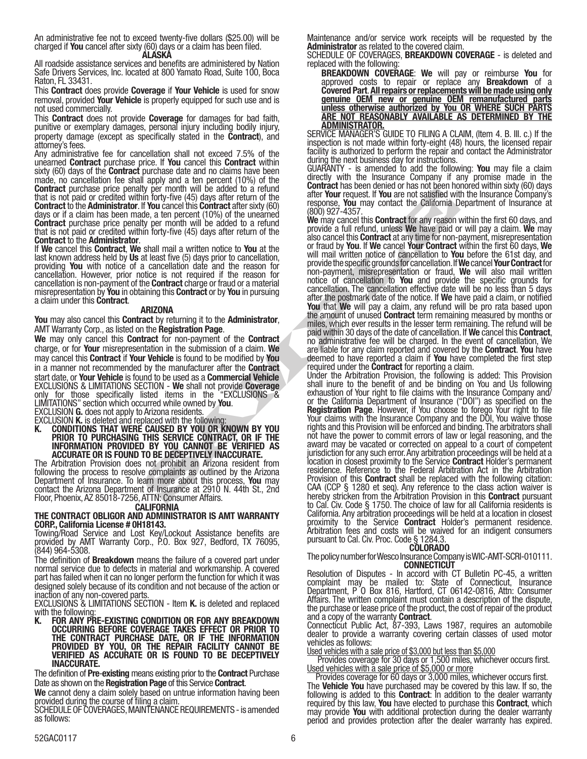An administrative fee not to exceed twenty-five dollars (\$25.00) will be charged if You cancel after sixty (60) days or a claim has been filed.<br>ALASKA

All roadside assistance services and benefits are administered by Nation Safe Drivers Services, Inc. located at 800 Yamato Road, Suite 100, Boca Raton, FL 33431.

This **Contract** does provide **Coverage** if **Your Vehicle** is used for snow removal, provided Your Vehicle is properly equipped for such use and is not used commercially.

This Contract does not provide Coverage for damages for bad faith, punitive or exemplary damages, personal injury including bodily injury, property damage (except as specifically stated in the Contract), and attorney's fees.

Any administrative fee for cancellation shall not exceed 7.5% of the unearned Contract purchase price. If You cancel this Contract within sixty (60) days of the **Contract** purchase date and no claims have been made, no cancellation fee shall apply and a ten percent (10%) of the **Contract** purchase price penalty per month will be added to a refund that is not paid or credited within forty-five (45) days after return of the **Contract to the Administrator. If You cancel this Contract after sixty (60) days or if a claim has been made, a ten percent (10%) of the unearned Contract** purchase price penalty per month will be added to a refund that is not paid or credited within forty-five (45) days after return of the

Contract to the Administrator.<br>If We cancel this Contract, We shall mail a written notice to You at the last known address held by Us at least five (5) days prior to cancellation, providing You with notice of a cancellation date and the reason for cancellation. However, prior notice is not required if the reason for cancellation is non-payment of the **Contract** charge or fraud or a material misrepresentation by **You** in obtaining this **Contract** or by You in pursuing a claim under this Contract.

## ARIZONA

You may also cancel this Contract by returning it to the Administrator, AMT Warranty Corp., as listed on the Registration Page.

We may only cancel this **Contract** for non-payment of the **Contract** charge, or for Your misrepresentation in the submission of a claim. We may cancel this Contract if Your Vehicle is found to be modified by You in a manner not recommended by the manufacturer after the Contract start date, or Your Vehicle is found to be used as a Commercial Vehicle EXCLUSIONS & LIMITATIONS SECTION - We shall not provide Coverage only for those specifically listed items in the "EXCLUSIONS & LIMITATIONS" section which occurred while owned by You. LIMITATIONS" section which occurred while owned by **You**.<br>EXCLUSION **G.** does not apply to Arizona residents.<br>EXCLUSION **K.** is deleted and replaced with the following:

K. CONDITIONS THAT WERE CAUSED BY YOU OR KNOWN BY YOU PRIOR TO PURCHASING THIS SERVICE CONTRACT, OR IF THE INFORMATION PROVIDED BY YOU CANNOT BE VERIFIED AS ACCURATE OR IS FOUND TO BE DECEPTIVELY INACCURATE.

The Arbitration Provision does not prohibit an Arizona resident from following the process to resolve complaints as outlined by the Arizona Department of Insurance. To learn more about this process, You may contact the Arizona Department of Insurance at 2910 N. 44th St., 2nd Floor, Phoenix, AZ 85018-7256, ATTN: Consumer Affairs.

#### **CALIFORNIA**

THE CONTRACT OBLIGOR AND ADMINISTRATOR IS AMT WARRANTY CORP., California License # 0H18143.

Towing/Road Service and Lost Key/Lockout Assistance benefits are provided by AMT Warranty Corp., P.O. Box 927, Bedford, TX 76095, (844) 964-5308.

The definition of **Breakdown** means the failure of a covered part under normal service due to defects in material and workmanship. A covered part has failed when it can no longer perform the function for which it was designed solely because of its condition and not because of the action or inaction of any non-covered parts.

EXCLUSIONS & LIMITATIONS SECTION - Item K. is deleted and replaced with the following:<br>**K.** FOR ANY PF

K. FOR ANY PRE-EXISTING CONDITION OR FOR ANY BREAKDOWN OCCURRING BEFORE COVERAGE TAKES EFFECT OR PRIOR TO THE CONTRACT PURCHASE DATE, OR IF THE INFORMATION PROVIDED BY YOU, OR THE REPAIR FACILITY CANNOT BE VERIFIED AS ACCURATE OR IS FOUND TO BE DECEPTIVELY INACCURATE.

The definition of Pre-existing means existing prior to the Contract Purchase

Date as shown on the Registration Page of this Service Contract.<br>We cannot deny a claim solely based on untrue information having been **We** cannot deny a claim solely based on untrue information having been<br>provided during the course of filing a claim.

SCHEDULE OF COVERAGES, MAINTENANCE REQUIREMENTS - is amended as follows:

Maintenance and/or service work receipts will be requested by the Administrator as related to the covered claim.

SCHEDULE OF COVERAGES, BREAKDOWN COVERAGE - is deleted and replaced with the following:

**BREAKDOWN COVERAGE: We will pay or reimburse You for** approved costs to repair or replace any **Breakdown** of a Covered Part. All repairs or replacements will be made using only genuine OEM new or genuine OEM remanufactured parts unless otherwise authorized by You OR WHERE SUCH PARTS ARE NOT REASONABLY AVAILABLE AS DETERMINED BY THE ADMINISTRATOR.

SERVICE MANAGER'S GUIDE TO FILING A CLAIM, (Item 4. B. III. c.) If the inspection is not made within forty-eight (48) hours, the licensed repair facility is authorized to perform the repair and contact the Administrator during the next business day for instructions.<br>GUARANTY - is amended to add the following: **You** may file a claim

GUARANTY - is amended to add the following: **You** may file a claim<br>directly with the Insurance Company if any promise made in the **Contract** has been denied or has not been honored within sixty (60) days<br>after **Your** request. If **You** are not satisfied with the Insurance Company's response, You may contact the California Department of Insurance at (800) 927-4357.

The primarinal the Rodient of the Gold Contract and Contract the California Control (10%) and the California Control (40)  $927-4357$ , and the California Control (40) and the California Control (40)  $927-4357$ , and the cal We may cancel this **Contract** for any reason within the first 60 days, and provide a full refund, unless We have paid or will pay a claim. We may also cancel this **Contract** at any time for non-payment, misrepresentation or fraud by You. If We cancel Your Contract within the first 60 days, We will mail written notice of cancellation to You before the 61st day, and provide the specific grounds for cancellation. If We cancel Your Contract for non-payment, misrepresentation or fraud, We will also mail written notice of cancellation to You and provide the specific grounds for cancellation. The cancellation effective date will be no less than 5 days after the postmark date of the notice. If We have paid a claim, or notified You that We will pay a claim, any refund will be pro rata based upon the amount of unused **Contract** term remaining measured by months or miles, which ever results in the lesser term remaining. The refund will be paid within 30 days of the date of cancellation. If We cancel this Contract, no administrative fee will be charged. In the event of cancellation, We are liable for any claim reported and covered by the **Contract. You** have deemed to have reported a claim if You have completed the first step

required under the **Contract** for reporting a claim.<br>Under the Arbitration Provision, the following is added: This Provision shall inure to the benefit of and be binding on You and Us following exhaustion of Your right to file claims with the Insurance Company and/ or the California Department of Insurance ("DOI") as specified on the Registration Page. However, if You choose to forego Your right to file Your claims with the Insurance Company and the DOI, You waive those rights and this Provision will be enforced and binding. The arbitrators shall not have the power to commit errors of law or legal reasoning, and the award may be vacated or corrected on appeal to a court of competent jurisdiction for any such error. Any arbitration proceedings will be held at a location in closest proximity to the Service **Contract** Holder's permanent residence. Reference to the Federal Arbitration Act in the Arbitration Provision of this Contract shall be replaced with the following citation: CAA (CCP § 1280 et seq). Any reference to the class action waiver is hereby stricken from the Arbitration Provision in this Contract pursuant to Cal. Civ. Code § 1750. The choice of law for all California residents is California. Any arbitration proceedings will be held at a location in closest proximity to the Service **Contract** Holder's permanent residence. Arbitration fees and costs will be waived for an indigent consumers pursuant to Cal. Civ. Proc. Code § 1284.3.

The policy number for Wesco Insurance Company is WIC-AMT-SCRI-010111.<br>CONNECTICUT

Resolution of Disputes - In accord with CT Bulletin PC-45, a written complaint may be mailed to: State of Connecticut, Insurance Department, P O Box 816, Hartford, CT 06142-0816, Attn: Consumer Affairs. The written complaint must contain a description of the dispute, the purchase or lease price of the product, the cost of repair of the product and a copy of the warranty Contract. Connecticut Public Act, 87-393, Laws 1987, requires an automobile

dealer to provide a warranty covering certain classes of used motor vehicles as follows:

Used vehicles with a sale price of \$3,000 but less than \$5,000

Provides coverage for 30 days or 1,500 miles, whichever occurs first.<br>Used vehicles with a sale price of \$5,000 or more

Provides coverage for 60 days or 3,000 miles, whichever occurs first. The Vehicle You have purchased may be covered by this law. If so, the following is added to this **Contract**: In addition to the dealer warranty required by this law, You have elected to purchase this Contract, which may provide You with additional protection during the dealer warranty period and provides protection after the dealer warranty has expired.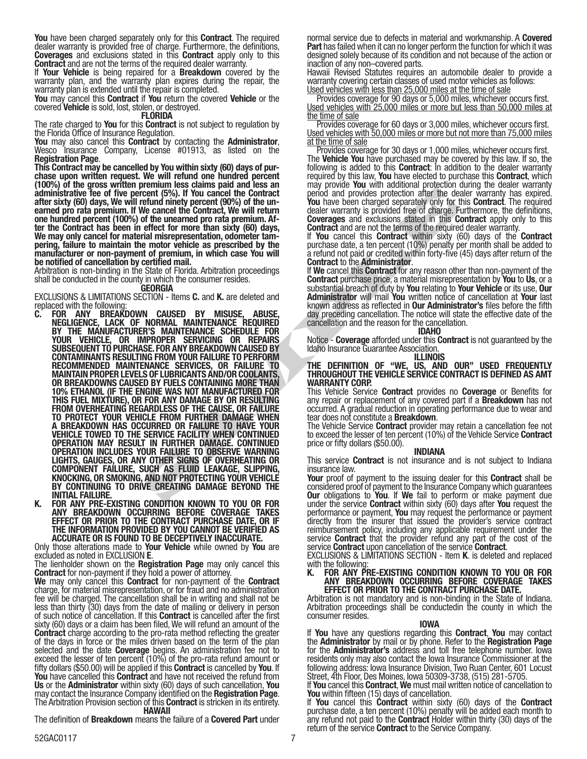You have been charged separately only for this Contract. The required dealer warranty is provided free of charge. Furthermore, the definitions, Coverages and exclusions stated in this Contract apply only to this Contract and are not the terms of the required dealer warranty.

If Your Vehicle is being repaired for a Breakdown covered by the warranty plan, and the warranty plan expires during the repair, the warranty plan is extended until the repair is completed.

You may cancel this Contract if You return the covered Vehicle or the covered **Vehicle** is sold, lost, stolen, or destroyed.<br>**FLORIDA** 

The rate charged to **You** for this **Contract** is not subject to regulation by the Florida Office of Insurance Regulation.

You may also cancel this Contract by contacting the Administrator, Wesco Insurance Company, License #01913, as listed on the Registration Page.

This Contract may be cancelled by You within sixty (60) days of pur-<br>chase upon written request. We will refund one hundred percent (100%) of the gross written premium less claims paid and less an administrative fee of five percent (5%). If You cancel the Contract after sixty (60) days, We will refund ninety percent (90%) of the un- earned pro rata premium. If We cancel the Contract, We will return one hundred percent (100%) of the unearned pro rata premium. After the Contract has been in effect for more than sixty (60) days, We may only cancel for material misrepresentation, odometer tampering, failure to maintain the motor vehicle as prescribed by the manufacturer or non-payment of premium, in which case You will be notified of cancellation by certified mail.

Arbitration is non-binding in the State of Florida. Arbitration proceedings shall be conducted in the county in which the consumer resides.<br>**GEORGIA** 

EXCLUSIONS & LIMITATIONS SECTION - Items C. and K. are deleted and replaced with the following:

- From the the content to the state of the content in the state of the state of the content in the state of the content in the term of the unamely percent (9%). If You cancel the Content of the unamely percent of the content C. FOR ANY BREAKDOWN CAUSED BY MISUSE, ABUSE, NEGLIGENCE, LACK OF NORMAL MAINTENANCE REQUIRED BY THE MANUFACTURER'S MAINTENANCE SCHEDULE FOR YOUR VEHICLE, OR IMPROPER SERVICING OR REPAIRS SUBSEQUENT TO PURCHASE. FOR ANY BREAKDOWN CAUSED BY CONTAMINANTS RESULTING FROM YOUR FAILURE TO PERFORM RECOMMENDED MAINTENANCE SERVICES, OR FAILURE TO MAINTAIN PROPER LEVELS OF LUBRICANTS AND/OR COOLANTS, OR BREAKDOWNS CAUSED BY FUELS CONTAINING MORE THAN 10% ETHANOL (IF THE ENGINE WAS NOT MANUFACTURED FOR THIS FUEL MIXTURE), OR FOR ANY DAMAGE BY OR RESULTING FROM OVERHEATING REGARDLESS OF THE CAUSE, OR FAILURE TO PROTECT YOUR VEHICLE FROM FURTHER DAMAGE WHEN A BREAKDOWN HAS OCCURRED OR FAILURE TO HAVE YOUR VEHICLE TOWED TO THE SERVICE FACILITY WHEN CONTINUED OPERATION MAY RESULT IN FURTHER DAMAGE. CONTINUED OPERATION INCLUDES YOUR FAILURE TO OBSERVE WARNING LIGHTS, GAUGES, OR ANY OTHER SIGNS OF OVERHEATING OR COMPONENT FAILURE, SUCH AS FLUID LEAKAGE, SLIPPING, KNOCKING, OR SMOKING, AND NOT PROTECTING YOUR VEHICLE BY CONTINUING TO DRIVE CREATING DAMAGE BEYOND THE INITIAL FAILURE.
- K. FOR ANY PRE-EXISTING CONDITION KNOWN TO YOU OR FOR ANY BREAKDOWN OCCURRING BEFORE COVERAGE TAKES EFFECT OR PRIOR TO THE CONTRACT PURCHASE DATE, OR IF THE INFORMATION PROVIDED BY YOU CANNOT BE VERIFIED AS ACCURATE OR IS FOUND TO BE DECEPTIVELY INACCURATE.

Only those alterations made to Your Vehicle while owned by You are excluded as noted in EXCLUSION E.

excluded as noted in EXCLUSION **E**.<br>The lienholder shown on the **Registration Page** may only cancel this<br>**Contract** for non-payment if they hold a power of attorney.

We may only cancel this Contract for non-payment of the Contract charge, for material misrepresentation, or for fraud and no administration fee will be charged. The cancellation shall be in writing and shall not be less than thirty (30) days from the date of mailing or delivery in person of such notice of cancellation. If this Contract is cancelled after the first sixty (60) days or a claim has been filed, We will refund an amount of the **Contract** charge according to the pro-rata method reflecting the greater of the days in force or the miles driven based on the term of the plan selected and the date **Coverage** begins. An administration fee not to<br>exceed the lesser of ten percent (10%) of the pro-rata refund amount or fifty dollars (\$50.00) will be applied if this **Contract** is cancelled by You. If You have cancelled this Contract and have not received the refund from Us or the Administrator within sixty (60) days of such cancellation, You may contact the Insurance Company identified on the **Registration Page**.<br>The Arbitration Provision section of this **Contract** is stricken in its entirety. HAWAII

The definition of **Breakdown** means the failure of a **Covered Part** under

normal service due to defects in material and workmanship. A Covered<br>Part has failed when it can no longer perform the function for which it was designed solely because of its condition and not because of the action or inaction of any non–covered parts.

Hawaii Revised Statutes requires an automobile dealer to provide a warranty covering certain classes of used motor vehicles as follows: Used vehicles with less than 25,000 miles at the time of sale

Provides coverage for 90 days or 5,000 miles, whichever occurs first. Used vehicles with 25,000 miles or more but less than 50,000 miles at <u>the time of sale</u>

Provides coverage for 60 days or 3,000 miles, whichever occurs first. Used vehicles with 50,000 miles or more but not more than 75,000 miles at the time of sale

Provides coverage for 30 days or 1,000 miles, whichever occurs first. The Vehicle You have purchased may be covered by this law. If so, the following is added to this **Contract**: In addition to the dealer warranty required by this law, **You** have elected to purchase this **Contract**, which<br>may provide **You** with additional protection during the dealer warranty may provide You with additional protection during the dealer warranty<br>period and provides protection after the dealer warranty has expired. You have been charged separately only for this Contract. The required dealer warranty is provided free of charge. Furthermore, the definitions, Coverages and exclusions stated in this Contract apply only to this Contract and are not the terms of the required dealer warranty.

If You cancel this Contract within sixty (60) days of the Contract purchase date, a ten percent (10%) penalty per month shall be added to a refund not paid or credited within forty-five (45) days after return of the<br>Contract to the Administrator.

If We cancel this Contract for any reason other than non-payment of the Contract purchase price, a material misrepresentation by You to Us, or a substantial breach of duty by You relating to Your Vehicle or its use, Our Administrator will mail You written notice of cancellation at Your last known address as reflected in Our Administrator's files before the fifth day preceding cancellation. The notice will state the effective date of the cancellation and the reason for the cancellation.

IDAHO

Notice - Coverage afforded under this Contract is not guaranteed by the Idaho Insurance Guarantee Association.

ILLINOIS

#### THE DEFINITION OF "WE, US, AND OUR" USED FREQUENTLY THROUGHOUT THE VEHICLE SERVICE CONTRACT IS DEFINED AS AMT WARRANTY CORP.

This Vehicle Service Contract provides no Coverage or Benefits for any repair or replacement of any covered part if a **Breakdown** has not occurred. A gradual reduction in operating performance due to wear and<br>tear does not constitute a **Breakdown**.

The Vehicle Service **Contract** provider may retain a cancellation fee not to exceed the lesser of ten percent (10%) of the Vehicle Service **Contract** price or fifty dollars (\$50.00).

#### INDIANA

This service **Contract** is not insurance and is not subject to Indiana insurance law.

Your proof of payment to the issuing dealer for this Contract shall be considered proof of payment to the Insurance Company which guarantees **Our** obligations to You. If We fail to perform or make payment due under the service **Contract** within sixty (60) days after You request the performance or payment, **You** may request the performance or payment directly from the insurer that issued the provider's service contract reimbursement policy, including any applicable requirement under the service **Contract** that the provider refund any part of the cost of the service Contract upon cancellation of the service Contract.<br>EXCLUSIONS & LIMITATIONS SECTION - Item K. is deleted and replaced

with the following:

#### K. FOR ANY PRE-EXISTING CONDITION KNOWN TO YOU OR FOR ANY BREAKDOWN OCCURRING BEFORE COVERAGE TAKES EFFECT OR PRIOR TO THE CONTRACT PURCHASE DATE.

Arbitration is not mandatory and is non-binding in the State of Indiana. Arbitration proceedings shall be conductedin the county in which the consumer resides.

IOWA

If You have any questions regarding this Contract, You may contact<br>the Administrator by mail or by phone. Refer to the Registration Page for the Administrator's address and toll free telephone number. Iowa residents only may also contact the Iowa Insurance Commissioner at the following address: Iowa Insurance Division, Two Ruan Center, 601 Locust Street, 4th Floor, Des Moines, Iowa 50309-3738, (515) 281-5705.

If You cancel this Contract, We must mail written notice of cancellation to **You** within fifteen (15) days of cancellation.<br>If **You** cancel this **Contract** within sixty (60) days of the **Contract** 

purchase date, a ten percent (10%) penalty will be added each month to any refund not paid to the **Contract** Holder within thirty (30) days of the<br>return of the service **Contract** to the Service Company.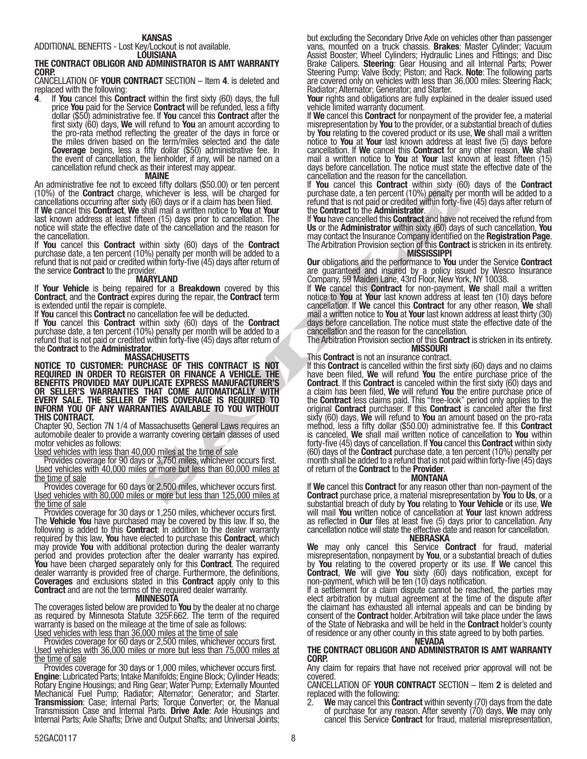ADDITIONAL BENEFITS - Lost Key/Lockout is not available. LOUISIANA

## THE CONTRACT OBLIGOR AND ADMINISTRATOR IS AMT WARRANTY CORP.

CANCELLATION OF YOUR CONTRACT SECTION – Item 4. is deleted and replaced with the following:

If You cancel this Contract within the first sixty  $(60)$  days, the full price You paid for the Service Contract will be refunded, less a fifty<br>dollar (\$50) administrative fee. If You cancel this Contract after the first sixty (60) days, We will refund to You an amount according to the pro-rata method reflecting the greater of the days in force or the miles driven based on the term/miles selected and the date **Coverage** begins, less a fifty dollar (\$50) administrative fee. In the event of cancellation, the lienholder, if any, will be named on a the event of cancellation, the lienholder, if any, will be named on a cancellation refund check as their interest may appear.

#### MAINE

An administrative fee not to exceed fifty dollars (\$50.00) or ten percent (10%) of the **Contract** charge, whichever is less, will be charged for<br>cancellations occurring after sixty (60) days or if a claim has been filed.

cancellations occurring after sixty (60) days or if a claim has been filed. If We cancel this Contract, We shall mail a written notice to You at Your last known address at least fifteen (15) days prior to cancellation. The notice will state the effective date of the cancellation and the reason for the cancellation.

If You cancel this Contract within sixty (60) days of the Contract purchase date, a ten percent (10%) penalty per month will be added to a refund that is not paid or credited within forty-five (45) days after return of the service Contract to the provider.

### MARYLAND

If Your Vehicle is being repaired for a Breakdown covered by this Contract, and the Contract expires during the repair, the Contract term is extended until the repair is complete.

If You cancel this Contract no cancellation fee will be deducted.

If You cancel this Contract within sixty (60) days of the Contract purchase date, a ten percent (10%) penalty per month will be added to a refund that is not paid or credited within forty-five (45) days after return of the Contract to the Administrator. MASSACHUSETTS

NOTICE TO CUSTOMER: PURCHASE OF THIS CONTRACT IS NOT REQUIRED IN ORDER TO REGISTER OR FINANCE A VEHICLE. THE BENEFITS PROVIDED MAY DUPLICATE EXPRESS MANUFACTURER'S OR SELLER'S WARRANTIES THAT COME AUTOMATICALLY WITH EVERY SALE. THE SELLER OF THIS COVERAGE IS REQUIRED TO INFORM YOU OF ANY WARRANTIES AVAILABLE TO YOU WITHOUT THIS CONTRACT.

Chapter 90, Section 7N 1/4 of Massachusetts General Laws requires an automobile dealer to provide a warranty covering certain classes of used motor vehicles as follows:

Used vehicles with less than 40,000 miles at the time of sale

Provides coverage for 90 days or 3,750 miles, whichever occurs first. Used vehicles with 40,000 miles or more but less than 80,000 miles at the time of sale

Provides coverage for 60 days or 2,500 miles, whichever occurs first. Used vehicles with 80,000 miles or more but less than 125,000 miles at the time of sale

Provides coverage for 30 days or 1,250 miles, whichever occurs first. The Vehicle You have purchased may be covered by this law. If so, the following is added to this **Contract**: In addition to the dealer warranty required by this law, You have elected to purchase this Contract, which may provide You with additional protection during the dealer warranty may provide You with additional protection during the dealer warranty<br>period and provides protection after the dealer warranty has expired. You have been charged separately only for this Contract. The required dealer warranty is provided free of charge. Furthermore, the definitions, Coverages and exclusions stated in this Contract apply only to this Contract and are not the terms of the required dealer warranty. MINNESOTA

The coverages listed below are provided to You by the dealer at no charge as required by Minnesota Statute 325F.662. The term of the required warranty is based on the mileage at the time of sale as follows: Used vehicles with less than 36,000 miles at the time of sale

Provides coverage for 60 days or 2,500 miles, whichever occurs first. Used vehicles with 36,000 miles or more but less than 75,000 miles at the time of sale

Provides coverage for 30 days or 1,000 miles, whichever occurs first.<br> **Engine:** Lubricated Parts; Intake Manifolds; Engine Block; Cylinder Heads;<br>
Rotary Engine Housings; and Ring Gear; Water Pump; Externally Mounted Mechanical Fuel Pump; Radiator; Alternator; Generator; and Starter. **Transmission**: Case; Internal Parts; Torque Converter; or, the Manual<br>Transmission Case and Internal Parts. **Drive Axle**: Axle Housings and<br>Internal Parts; Axle Shafts; Drive and Output Shafts; and Universal Joints; but excluding the Secondary Drive Axle on vehicles other than passenger<br>vans, mounted on a truck chassis. Brakes: Master Cylinder; Vacuum vans, mounted on a truck chassis. **Brakes**: Master Cylinder; Vacuum<br>Assist Booster; Wheel Cylinders; Hydraulic Lines and Fittings; and Disc Brake Calipers. **Steering**: Gear Housing and all Internal Parts; Power<br>Steering Pump; Valve Body; Piston; and Rack. **Note**: The following parts<br>are covered only on vehicles with less than 36,000 miles: Steering Rack; are covered only on vehicles with less than 36,000 miles: Steering Rack;<br>Radiator; Alternator; Generator; and Starter.

Your rights and obligations are fully explained in the dealer issued used vehicle limited warranty document.

If We cancel this Contract for nonpayment of the provider fee, a material misrepresentation by You to the provider, or a substantial breach of duties by You relating to the covered product or its use, We shall mail a written notice to You at Your last known address at least five (5) days before cancellation. If We cancel this **Contract** for any other reason, We shall mail a written notice to You at Your last known at least fifteen (15) days before cancellation. The notice must state the effective date of the cancellation and the reason for the cancellation.

If You cancel this Contract within sixty (60) days of the Contract purchase date, a ten percent (10%) penalty per month will be added to a refund that is not paid or credited within forty-five (45) days after return of

the **Contract** to the **Administrator**.<br>If **You** have cancelled this **Contract** and have not received the refund from Us or the Administrator within sixty (60) days of such cancellation, You may contact the Insurance Company identified on the **Registration Page**.<br>The Arbitration Provision section of this **Contract** is stricken in its entirety.<br>MISSISSIPPI

Our obligations and the performance to You under the Service Contract are guaranteed and insured by a policy issued by Wesco Insurance Company, 59 Maiden Lane, 43rd Floor, New York, NY 10038.

If We cancel this Contract for non-payment, We shall mail a written notice to **You** at **Your** last known address at least ten (10) days before<br>cancellation. If **We** cancel this **Contract** for any other reason, **We** shall cancellation. If We cancel this Contract for any other reason, We shall mail a written notice to You at Your last known address at least thirty (30) days before cancellation. The notice must state the effective date of the cancellation and the reason for the cancellation.

The Arbitration Provision section of this **Contract** is stricken in its entirety.<br>MISSOURI

Contract in the charge of the charge of the charge of the charge of the charge of the charge of the contract to the definite the property of the contract to the charge the other and have the charge of the Contract of the C This **Contract** is not an insurance contract.<br>If this **Contract** is cancelled within the first sixty (60) days and no claims have been filed, We will refund You the entire purchase price of the **Contract** If this **Contract** is canceled within the first sixty (60) days and a claim has been filed, We will refund You the entire purchase price of the **Contract** less claims paid. This "free-look" period only applies to the original **Contract** purchaser. If this **Contract** is canceled after the first sixty (60) days, **We** will refund to **You** an amount based on the pro-rata<br>method, less a fifty dollar (\$50.00) administrative fee. If this **Contract** is canceled, We shall mail written notice of cancellation to You within forty-five (45) days of cancellation. If **You** cancel this **Contract** within sixty (60) days of the Contract purchase date, a ten percent (10%) penalty per month shall be added to a refund that is not paid within forty-five (45) days of return of the **Contract** to the **Provider.**<br>**MONTANA** 

If We cancel this Contract for any reason other than non-payment of the Contract purchase price, a material misrepresentation by You to Us, or a substantial breach of duty by You relating to Your Vehicle or its use, We will mail You written notice of cancellation at Your last known address as reflected in Our files at least five (5) days prior to cancellation. Any cancellation notice will state the effective date and reason for cancellation.

### NEBRASKA

We may only cancel this Service Contract for fraud, material misrepresentation, nonpayment by You, or a substantial breach of duties by You relating to the covered property or its use. If We cancel this **Contract, We** will give **You** sixty (60) days notification, except for<br>non-payment, which will be ten (10) days notification.

If a settlement for a claim dispute cannot be reached, the parties may elect arbitration by mutual agreement at the time of the dispute after the claimant has exhausted all internal appeals and can be binding by consent of the Contract holder. Arbitration will take place under the laws of the State of Nebraska and will be held in the Contract holder's county of residence or any other county in this state agreed to by both parties.

## NEVADA

### THE CONTRACT OBLIGOR AND ADMINISTRATOR IS AMT WARRANTY CORP.

Any claim for repairs that have not received prior approval will not be covered.

CANCELLATION OF YOUR CONTRACT SECTION – Item 2 is deleted and replaced with the following:

2. We may cancel this Contract within seventy (70) days from the date of purchase for any reason. After seventy (70) days, We may only cancel this Service Contract for fraud, material misrepresentation,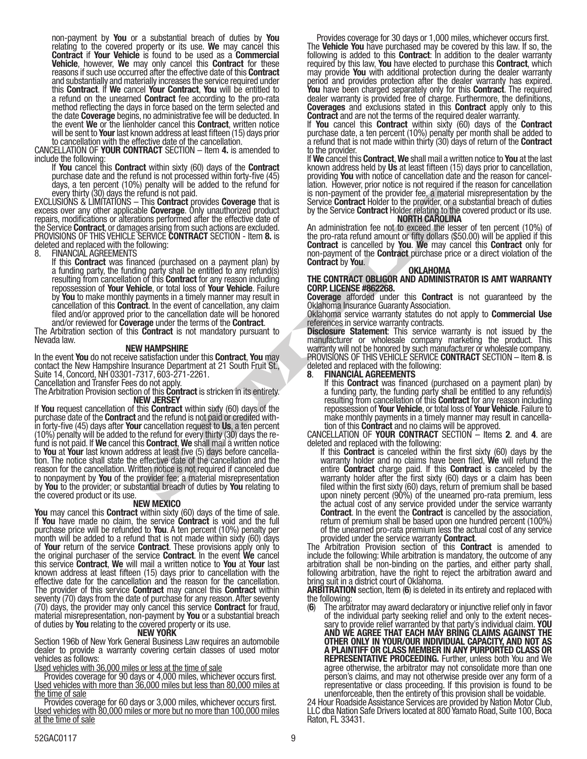non-payment by You or a substantial breach of duties by You relating to the covered property or its use. We may cancel this relating to the covered property or its use. We may cancel this<br>**Contract if Your Vehicle** is found to be used as a **Commercial** Vehicle, however, We may only cancel this Contract for these reasons if such use occurred after the effective date of this Contract and substantially and materially increases the service required under this **Contract**. If We cancel Your Contract, You will be entitled to a refund on the unearned Contract fee according to the pro-rata method reflecting the days in force based on the term selected and the date Coverage begins, no administrative fee will be deducted. In the event We or the lienholder cancel this Contract, written notice will be sent to **Your** last known address at least fifteen (15) days prior to cancellation with the effective date of the cancellation.

CANCELLATION OF **YOUR CONTRACT** SECTION  $-$  Item  $4$ . is amended to include the following:

If You cancel this Contract within sixty (60) days of the Contract purchase date and the refund is not processed within forty-five (45) days, a ten percent (10%) penalty will be added to the refund for

every thirty (30) days the refund is not paid.<br>EXCLUSIONS & LIMITATIONS – This **Contract** provides Coverage that is excess over any other applicable **Coverage**. Only unauthorized product repairs, modifications or alterations performed after the effective date of the Service Contract, or damages arising from such actions are excluded. PROVISIONS OF THIS VEHICLE SERVICE CONTRACT SECTION - Item 8. is deleted and replaced with the following:

FINANCIAL AGREEMENTS<br>If this **Contract** was financed (purchased on a payment plan) by If this **Contract** was financed (purchased on a payment plan) by<br>a funding party, the funding party shall be entitled to any refund(s) resulting from cancellation of this **Contract** for any reason including<br>repossession of **Your Vehicle**, or total loss of **Your Vehicle**. Failure repossession of Your Vehicle, or total loss of Your Vehicle. Failure<br>by You to make monthly payments in a timely manner may result in<br>cancellation of this Contract. In the event of cancellation, any claim filed and/or approved prior to the cancellation date will be honored

and/or reviewed for **Coverage** under the terms of the **Contract**.<br>The Arbitration section of this Contract is not mandatory pursuant to Nevada law.

### NEW HAMPSHIRE

In the event You do not receive satisfaction under this Contract, You may contact the New Hampshire Insurance Department at 21 South Fruit St., Suite 14, Concord, NH 03301-7317, 603-271-2261.

Cancellation and Transfer Fees do not apply.

The Arbitration Provision section of this **Contract** is stricken in its entirety.<br>NEW JERSEY

From the fortract is not be beat and the section of the provider fee a material in Source Contract Holder to the provider of the provider of the provider of the energy of the provider of the energy of the proton of the pro If You request cancellation of this Contract within sixty (60) days of the purchase date of the Contract and the refund is not paid or credited within forty-five (45) days after Your cancellation request to Us, a ten perce (10%) penalty will be added to the refund for every thirty (30) days the re-<br>fund is not paid. If We cancel this Contract, We shall mail a written notice<br>to You at Your last known address at least five (5) days before can tion. The notice shall state the effective date of the cancellation and the reason for the cancellation. Written notice is not required if canceled due to nonpayment by You of the provider fee; a material misrepresentation by You to the provider; or substantial breach of duties by You relating to the covered product or its use.<br>NEW MEXICO

**You** may cancel this **Contract** within sixty (60) days of the time of sale.<br>If **You** have made no claim, the service **Contract** is void and the full purchase price will be refunded to **You**. A ten percent (10%) penalty per month will be added to a refund that is not made within sixty (60) days month will be added to a refund that is not made within sixty (60) days of **Your** return of the service **Contract**. These provisions apply only to the original purchaser of the service Contract. In the event We cancel this service Contract, We will mail a written notice to You at Your last known address at least fifteen (15) days prior to cancellation with the effective date for the cancellation and the reason for the cancellation. The provider of this service Contract may cancel this Contract within seventy (70) days from the date of purchase for any reason. After seventy (70) days, the provider may only cancel this service Contract for fraud, material misrepresentation, non-payment by You or a substantial breach of duties by You relating to the covered property or its use.

### NEW YORK

Section 196b of New York General Business Law requires an automobile dealer to provide a warranty covering certain classes of used motor vehicles as follows:

Used vehicles with 36,000 miles or less at the time of sale

Provides coverage for 90 days or 4,000 miles, whichever occurs first. Used vehicles with more than 36,000 miles but less than 80,000 miles at <u>the time of sale</u>

Provides coverage for 60 days or 3,000 miles, whichever occurs first. Used vehicles with 80,000 miles or more but no more than 100,000 miles at the time of sale

Provides coverage for 30 days or 1,000 miles, whichever occurs first. The Vehicle You have purchased may be covered by this law. If so, the following is added to this **Contract**: In addition to the dealer warranty required by this law, **You** have elected to purchase this **Contract**, which<br>may provide **You** with additional protection during the dealer warranty may provide You with additional protection during the dealer warranty<br>period and provides protection after the dealer warranty has expired. You have been charged separately only for this Contract. The required dealer warranty is provided free of charge. Furthermore, the definitions, **Coverages** and exclusions stated in this **Contract** apply only to this **Contract** and are not the terms of the required dealer warranty.

If You cancel this Contract within sixty (60) days of the Contract purchase date, a ten percent (10%) penalty per month shall be added to a refund that is not made within thirty (30) days of return of the Contract to the provider.

If We cancel this Contract, We shall mail a written notice to You at the last known address held by Us at least fifteen (15) days prior to cancellation, providing You with notice of cancellation date and the reason for cancellation. However, prior notice is not required if the reason for cancellation is non-payment of the provider fee, a material misrepresentation by the Service Contract Holder to the provider, or a substantial breach of duties by the Service Contract Holder relating to the covered product or its use. NORTH CAROLINA

An administration fee not to exceed the lesser of ten percent (10%) of the pro-rata refund amount or fifty dollars (\$50.00) will be applied if this Contract is cancelled by You. We may cancel this Contract only for non-payment of the **Contract** purchase price or a direct violation of the **Contract** by **You.** OKLAHOMA

### THE CONTRACT OBLIGOR AND ADMINISTRATOR IS AMT WARRANTY CORP. LICENSE #862268.

**Coverage** afforded under this **Contract** is not guaranteed by the Oklahoma Insurance Guaranty Association.

Oklahoma service warranty statutes do not apply to Commercial Use references in service warranty contracts.

Disclosure Statement: This service warranty is not issued by the manufacturer or wholesale company marketing the product. This warranty will not be honored by such manufacturer or wholesale company. PROVISIONS OF THIS VEHICLE SERVICE CONTRACT SECTION - Item 8. is deleted and replaced with the following:

**FINANCIAL AGREEMENTS**<br>If this **Contract** was financed (purchased on a payment plan) by If this **Contract** was financed (purchased on a payment plan) by<br>a funding party, the funding party shall be entitled to any refund(s) resulting from cancellation of this **Contract** for any reason including<br>repossession of **Your Vehicle**, or total loss of **Your Vehicle**. Failure to repossession of **Your Vehicle**, or total loss of **Your Vehicle**. Failure to make monthly payments in a timely manner may result in cancellation of this **Contract** and no claims will be approved. CANCELLATION OF **YOUR CONTR** 

If this **Contract** is canceled within the first sixty (60) days by the warranty holder and no claims have been filed, We will refund the entire Contract charge paid. If this Contract is canceled by the warranty holder after the first sixty (60) days or a claim has been filed within the first sixty (60) days, return of premium shall be based upon ninety percent (90%) of the unearned pro-rata premium, less the actual cost of any service provided under the service warranty **Contract.** In the event the **Contract** is cancelled by the association, return of premium shall be based upon one hundred percent (100%) of the unearned pro-rata premium less the actual cost of any service

provided under the service warranty **Contract**.<br>The Arbitration Provision section of this **Contract** is amended to include the following: While arbitration is mandatory, the outcome of any arbitration shall be non-binding on the parties, and either party shall, following arbitration, have the right to reject the arbitration award and bring suit in a district court of Oklahoma.

ARBITRATION section, Item (6) is deleted in its entirety and replaced with the following:

(6) The arbitrator may award declaratory or injunctive relief only in favor of the individual party seeking relief and only to the extent neces-<br>sary to provide relief warranted by that party's individual claim. **YOU** AND WE AGREE THAT EACH MAY BRING CLAIMS AGAINST THE OTHER ONLY IN YOUR/OUR INDIVIDUAL CAPACITY, AND NOT AS A PLAINTIFF OR CLASS MEMBER IN ANY PURPORTED CLASS OR REPRESENTATIVE PROCEEDING. Further, unless both You and We agree otherwise, the arbitrator may not consolidate more than one person's claims, and may not otherwise preside over any form of a representative or class proceeding. If this provision is found to be

unenforceable, then the entirety of this provision shall be voidable. 24 Hour Roadside Assistance Services are provided by Nation Motor Club, LLC dba Nation Safe Drivers located at 800 Yamato Road, Suite 100, Boca Raton, FL 33431.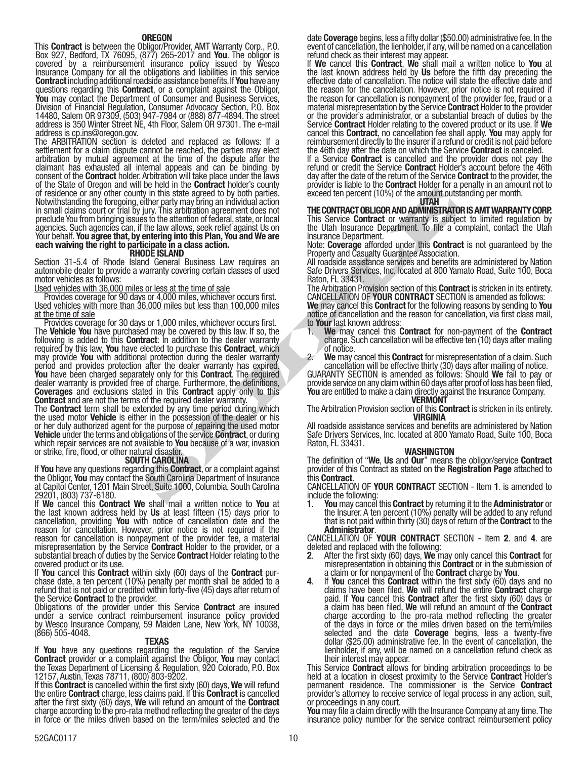**OREGON**<br>This **Contract** is between the Obligor/Provider, AMT Warranty Corp., P.O. This Contract is between the Obligor/Provider, AMT Warranty Corp., P.O.<br>Box 927, Bedford, TX 76095, (877) 265-2017 and You. The obligor is covered by a reimbursement insurance policy issued by Wesco Insurance Company for all the obligations and liabilities in this service Contract including additional roadside assistance benefits. If You have any questions regarding this **Contract**, or a complaint against the Obligor, You may contact the Department of Consumer and Business Services, You may contact the Department of Consumer and Business Services,<br>Division of Financial Regulation, Consumer Advocacy Section, P.O. Box 14480, Salem OR 97309, (503) 947-7984 or (888) 877-4894. The street address is 350 Winter Street NE, 4th Floor, Salem OR 97301. The e-mail address is cp.ins@oregon.gov.

The ARBITRATION section is deleted and replaced as follows: If a settlement for a claim dispute cannot be reached, the parties may elect arbitration by mutual agreement at the time of the dispute after the claimant has exhausted all internal appeals and can be binding by consent of the **Contract** holder. Arbitration will take place under the laws of the State of Oregon and will be held in the **Contract** holder's county of residence or any other county in this state agreed to by both parties. Notwithstanding the foregoing, either party may bring an individual action in small claims court or trial by jury. This arbitration agreement does not preclude You from bringing issues to the attention of federal, state, or local agencies. Such agencies can, if the law allows, seek relief against Us on Your behalf. You agree that, by entering into this Plan, You and We are<br>each waiving the right to participate in a class action.<br>RHODE ISLAND

Section 31-5.4 of Rhode Island General Business Law requires an automobile dealer to provide a warranty covering certain classes of used motor vehicles as follows:

Used vehicles with 36,000 miles or less at the time of sale

Provides coverage for 90 days or 4,000 miles, whichever occurs first. Used vehicles with more than 36,000 miles but less than 100,000 miles at the time of sale

To this state agreed to by both parties<br>
in this state agreement (10%) of the amplituding the procedure precent (10%) of the amplituding<br>
they has arbitralian dividend action to the contract of warrange in the dividend an Provides coverage for 30 days or 1,000 miles, whichever occurs first. The Vehicle You have purchased may be covered by this law. If so, the following is added to this **Contract**: In addition to the dealer warranty required by this law, You have elected to purchase this Contract, which may provide You with additional protection during the dealer warranty may provide You with additional protection during the dealer warranty<br>period and provides protection after the dealer warranty has expired. You have been charged separately only for this Contract. The required dealer warranty is provided free of charge. Furthermore, the definitions, Coverages and exclusions stated in this Contract apply only to this Contract and are not the terms of the required dealer warranty.

The **Contract** term shall be extended by any time period during which the used motor Vehicle is either in the possession of the dealer or his or her duly authorized agent for the purpose of repairing the used motor Vehicle under the terms and obligations of the service Contract, or during which repair services are not available to You because of a war, invasion or strike, fire, flood, or other natural disaster.

**SOUTH CAROLINA**<br>If You have any questions regarding this **Contract**, or a complaint against the Obligor, You may contact the South Carolina Department of Insurance at Capitol Center, 1201 Main Street, Suite 1000, Columbia, South Carolina 29201, (803) 737-6180.

If We cancel this Contract We shall mail a written notice to You at the last known address held by Us at least fifteen (15) days prior to cancellation, providing You with notice of cancellation date and the reason for cancellation. However, prior notice is not required if the reason for cancellation is nonpayment of the provider fee, a material misrepresentation by the Service Contract Holder to the provider, or a substantial breach of duties by the Service Contract Holder relating to the covered product or its use.

If **You** cancel this **Contract** within sixty (60) days of the **Contract** pur-<br>chase date, a ten percent (10%) penalty per month shall be added to a refund that is not paid or credited within forty-five (45) days after return of

the Service **Contract** to the provider.<br>Obligations of the provider under this Service **Contract** are insured under a service contract reimbursement insurance policy provided by Wesco Insurance Company, 59 Maiden Lane, New York, NY 10038, (866) 505-4048. TEXAS

If You have any questions regarding the regulation of the Service Contract provider or a complaint against the Obligor, You may contact the Texas Department of Licensing & Regulation, 920 Colorado, P.O. Box<br>12157, Austin, Texas 78711, (800) 803-9202.

If this **Contract** is cancelled within the first sixty (60) days, We will refund the entire Contract charge, less claims paid. If this Contract is cancelled after the first sixty (60) days, We will refund an amount of the Contract charge according to the pro-rata method reflecting the greater of the days in force or the miles driven based on the term/miles selected and the

date Coverage begins, less a fifty dollar (\$50.00) administrative fee. In the event of cancellation refund check as their interest may appear.

If We cancel this Contract, We shall mail a written notice to You at the last known address held by Us before the fifth day preceding the effective date of cancellation. The notice will state the effective date and the reason for the cancellation. However, prior notice is not required if the reason for cancellation is nonpayment of the provider fee, fraud or a material misrepresentation by the Service **Contract** Holder to the provider or the provider's administrator, or a substantial breach of duties by the Service **Contract** Holder relating to the covered product or its use. If We cancel this Contract, no cancellation fee shall apply. You may apply for reimbursement directly to the insurer if a refund or credit is not paid before the 46th day after the date on which the Service **Contract** is canceled.

If a Service Contract is cancelled and the provider does not pay the refund or credit the Service Contract Holder's account before the 46th day after the date of the return of the Service **Contract** to the provider, the provider is liable to the **Contract** Holder for a penalty in an amount not to exceed ten percent (10%) of the amount outstanding per month.

#### UTAH

THE CONTRACT OBLIGOR AND ADMINISTRATOR IS AMT WARRANTY CORP. This Service **Contract** or warranty is subject to limited regulation by the Utah Insurance Department. To file a complaint, contact the Utah Insurance Department.

Note: Coverage afforded under this Contract is not guaranteed by the Property and Casualty Guarantee Association.

All roadside assistance services and benefits are administered by Nation Safe Drivers Services, Inc. located at 800 Yamato Road, Suite 100, Boca Raton, FL 33431.

The Arbitration Provision section of this Contract is stricken in its entirety. CANCELLATION OF YOUR CONTRACT SECTION is amended as follows:

We may cancel this Contract for the following reasons by sending to You notice of cancellation and the reason for cancellation, via first class mail, to **Your** last known address

- We may cancel this Contract for non-payment of the Contract charge. Such cancellation will be effective ten (10) days after mailing of notice.
- 2. We may cancel this **Contract** for misrepresentation of a claim. Such cancellation will be effective thirty (30) days after mailing of notice.

cancellation will be effective thirty (30) days after mailing of notice. GUARANTY SECTION is amended as follows: Should We fail to pay or provide service on any claim within 60 days after proof of loss has been filed, **You** are entitled to make a claim directly against the Insurance Company.<br>**VERMONT** 

The Arbitration Provision section of this **Contract** is stricken in its entirety.<br>**VIRGINIA** 

All roadside assistance services and benefits are administered by Nation Safe Drivers Services, Inc. located at 800 Yamato Road, Suite 100, Boca Raton, FL 33431.

### WASHINGTON

The definition of "We, Us and Our" means the obligor/service Contract provider of this Contract as stated on the **Registration Page** attached to<br>this **Contract**.

CANCELLATION OF YOUR CONTRACT SECTION - Item 1. is amended to include the following:

**1.** You may cancel this Contract by returning it to the Administrator or the Insurer. A ten percent (10%) penalty will be added to any refund that is not paid within thirty (30) days of return of the **Contract** to the

Administrator.<br>CANCELLATION OF YOUR CONTRACT SECTION - Item 2. and 4. are deleted and replaced with the following:

- After the first sixty (60) days, We may only cancel this Contract for misrepresentation in obtaining this **Contract** or in the submission of<br>a claim or for nonpayment of the **Contract** charge by **You**.
- If You cancel this **Contract** within the first sixty (60) days and no claims have been filed, We will refund the entire **Contract** charge paid. If You cancel this **Contract** after the first sixty (60) days or a claim has b charge according to the pro-rata method reflecting the greater of the days in force or the miles driven based on the term/miles selected and the date Coverage begins, less a twenty-five dollar (\$25.00) administrative fee. In the event of cancellation, the lienholder, if any, will be named on a cancellation refund check as

their interest may appear.<br>This Service **Contract** allows for binding arbitration proceedings to be<br>held at a location in closest proximity to the Service Contract Holder's permanent residence. The commissioner is the Service Contract provider's attorney to receive service of legal process in any action, suit, or proceedings in any court.

You may file a claim directly with the Insurance Company at any time. The insurance policy number for the service contract reimbursement policy